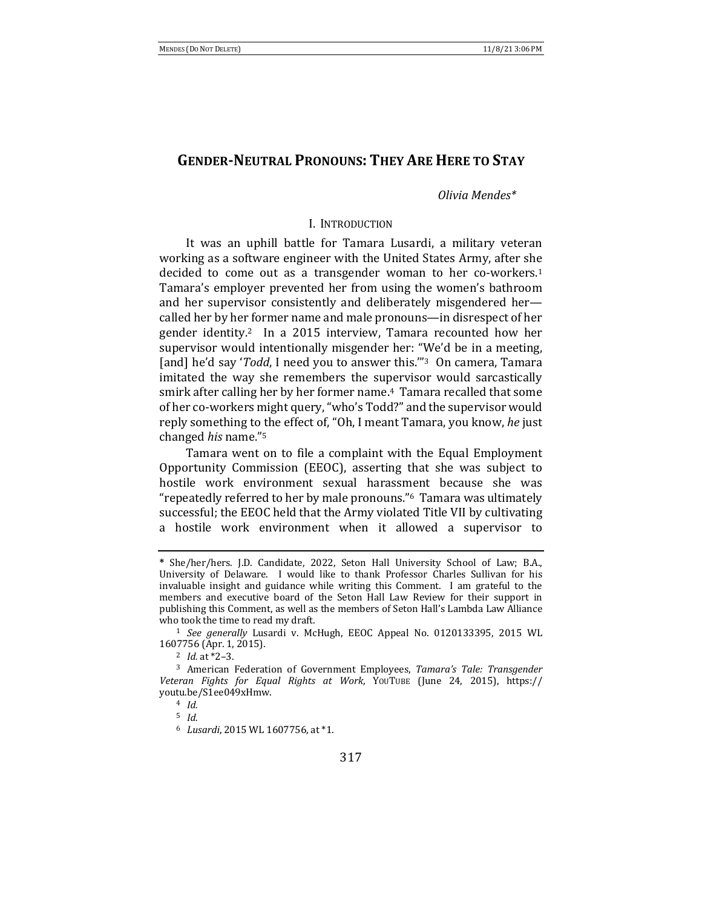# **GENDER-NEUTRAL PRONOUNS: THEY ARE HERE TO STAY**

## *Olivia Mendes\**

### I. INTRODUCTION

It was an uphill battle for Tamara Lusardi, a military veteran working as a software engineer with the United States Army, after she decided to come out as a transgender woman to her co-workers.<sup>1</sup> Tamara's employer prevented her from using the women's bathroom and her supervisor consistently and deliberately misgendered hercalled her by her former name and male pronouns—in disrespect of her gender identity.<sup>2</sup> In a 2015 interview, Tamara recounted how her supervisor would intentionally misgender her: "We'd be in a meeting, [and] he'd say '*Todd*, I need you to answer this."<sup>3</sup> On camera, Tamara imitated the way she remembers the supervisor would sarcastically smirk after calling her by her former name.<sup>4</sup> Tamara recalled that some of her co-workers might query, "who's Todd?" and the supervisor would reply something to the effect of, "Oh, I meant Tamara, you know, he just changed *his* name."5

Tamara went on to file a complaint with the Equal Employment Opportunity Commission (EEOC), asserting that she was subject to hostile work environment sexual harassment because she was "repeatedly referred to her by male pronouns."<sup>6</sup> Tamara was ultimately successful; the EEOC held that the Army violated Title VII by cultivating a hostile work environment when it allowed a supervisor to

<sup>5</sup> *Id.*

**<sup>\*</sup>** She/her/hers. J.D. Candidate, 2022, Seton Hall University School of Law; B.A., University of Delaware. I would like to thank Professor Charles Sullivan for his invaluable insight and guidance while writing this Comment. I am grateful to the members and executive board of the Seton Hall Law Review for their support in publishing this Comment, as well as the members of Seton Hall's Lambda Law Alliance who took the time to read my draft.

<sup>&</sup>lt;sup>1</sup> See generally Lusardi v. McHugh, EEOC Appeal No. 0120133395, 2015 WL 1607756 (Apr. 1, 2015).

<sup>&</sup>lt;sup>2</sup> *Id.* at \*2-3.

<sup>&</sup>lt;sup>3</sup> American Federation of Government Employees, *Tamara's Tale: Transgender Veteran Fights for Equal Rights at Work*, YOUTUBE (June 24, 2015), https:// youtu.be/S1ee049xHmw.

<sup>4</sup> *Id.*

<sup>6</sup> *Lusardi*, 2015 WL 1607756, at \*1.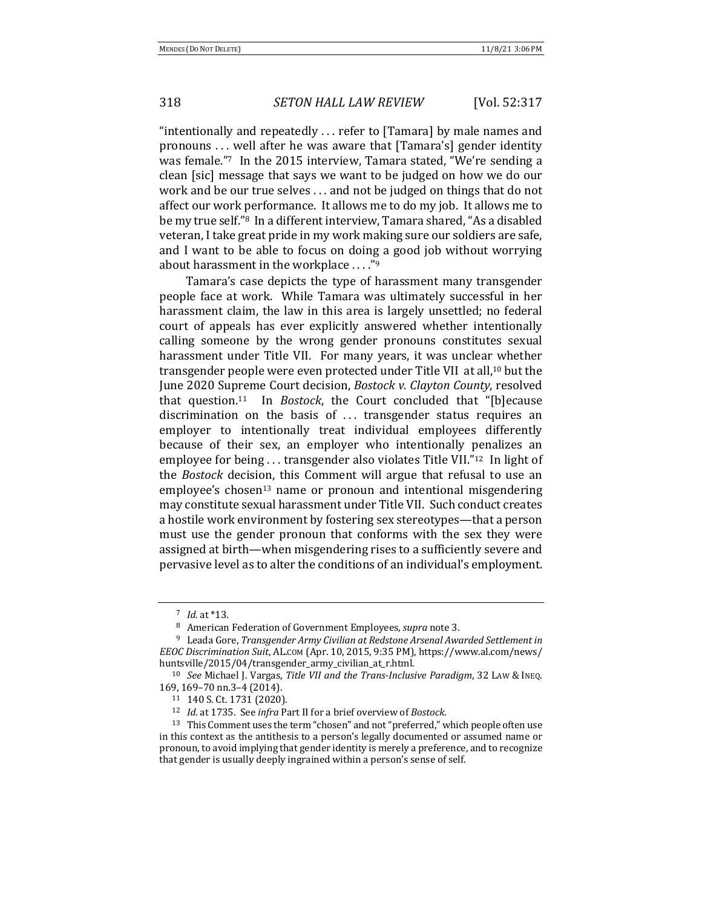"intentionally and repeatedly  $\dots$  refer to [Tamara] by male names and pronouns ... well after he was aware that [Tamara's] gender identity was female."<sup>7</sup> In the 2015 interview, Tamara stated, "We're sending a clean [sic] message that says we want to be judged on how we do our work and be our true selves ... and not be judged on things that do not affect our work performance. It allows me to do my job. It allows me to be my true self."<sup>8</sup> In a different interview, Tamara shared, "As a disabled veteran, I take great pride in my work making sure our soldiers are safe, and I want to be able to focus on doing a good job without worrying about harassment in the workplace  $\dots$ ."<sup>9</sup>

Tamara's case depicts the type of harassment many transgender people face at work. While Tamara was ultimately successful in her harassment claim, the law in this area is largely unsettled; no federal court of appeals has ever explicitly answered whether intentionally calling someone by the wrong gender pronouns constitutes sexual harassment under Title VII. For many years, it was unclear whether transgender people were even protected under Title VII at all,<sup>10</sup> but the June 2020 Supreme Court decision, *Bostock v. Clayton County*, resolved that question.<sup>11</sup> In *Bostock*, the Court concluded that "[b]ecause discrimination on the basis of ... transgender status requires an employer to intentionally treat individual employees differently because of their sex, an employer who intentionally penalizes an employee for being  $\ldots$  transgender also violates Title VII."<sup>12</sup> In light of the *Bostock* decision, this Comment will argue that refusal to use an  $emplovee's chosen<sup>13</sup>$  name or pronoun and intentional misgendering may constitute sexual harassment under Title VII. Such conduct creates a hostile work environment by fostering sex stereotypes—that a person must use the gender pronoun that conforms with the sex they were assigned at birth—when misgendering rises to a sufficiently severe and pervasive level as to alter the conditions of an individual's employment.

 $7$  *Id.* at \*13.

<sup>&</sup>lt;sup>8</sup> American Federation of Government Employees, *supra* note 3.

<sup>&</sup>lt;sup>9</sup> Leada Gore, *Transgender Army Civilian at Redstone Arsenal Awarded Settlement in EEOC Discrimination Suit*, AL.COM (Apr. 10, 2015, 9:35 PM), https://www.al.com/news/ huntsville/2015/04/transgender\_army\_civilian\_at\_r.html.

<sup>&</sup>lt;sup>10</sup> *See* Michael J. Vargas, *Title VII and the Trans-Inclusive Paradigm*, 32 LAW & INEQ. 169, 169-70 nn.3-4 (2014).

<sup>11 140</sup> S. Ct. 1731 (2020).

<sup>&</sup>lt;sup>12</sup> *Id.* at 1735. See *infra* Part II for a brief overview of *Bostock*.

<sup>&</sup>lt;sup>13</sup> This Comment uses the term "chosen" and not "preferred," which people often use in this context as the antithesis to a person's legally documented or assumed name or pronoun, to avoid implying that gender identity is merely a preference, and to recognize that gender is usually deeply ingrained within a person's sense of self.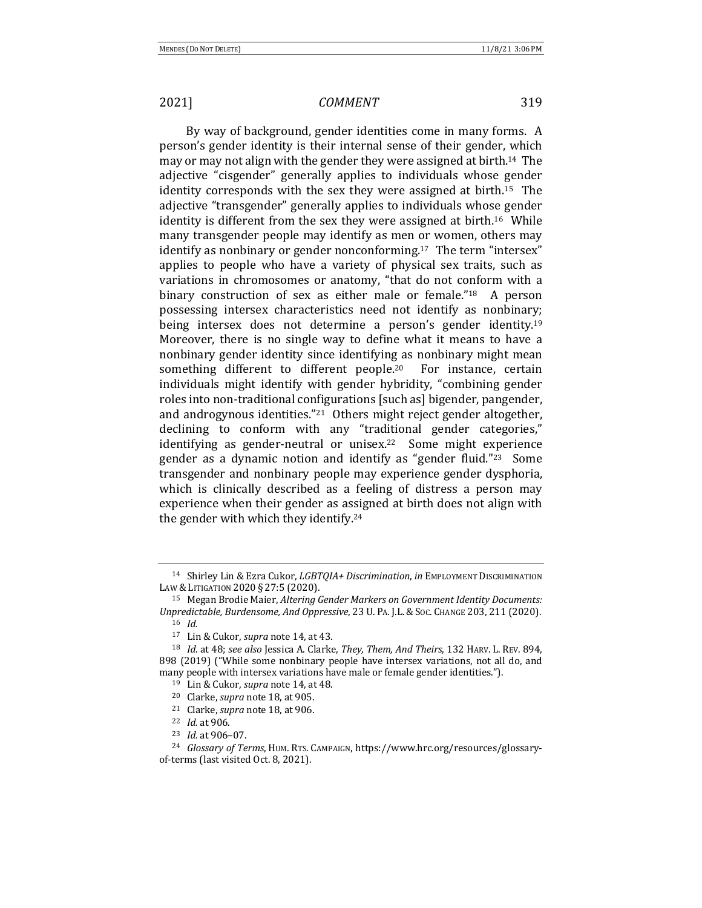By way of background, gender identities come in many forms. A person's gender identity is their internal sense of their gender, which may or may not align with the gender they were assigned at birth.<sup>14</sup> The adjective "cisgender" generally applies to individuals whose gender identity corresponds with the sex they were assigned at birth.<sup>15</sup> The adjective "transgender" generally applies to individuals whose gender identity is different from the sex they were assigned at birth.<sup>16</sup> While many transgender people may identify as men or women, others may identify as nonbinary or gender nonconforming.<sup>17</sup> The term "intersex" applies to people who have a variety of physical sex traits, such as variations in chromosomes or anatomy, "that do not conform with a binary construction of sex as either male or female."<sup>18</sup> A person possessing intersex characteristics need not identify as nonbinary; being intersex does not determine a person's gender identity.<sup>19</sup> Moreover, there is no single way to define what it means to have a nonbinary gender identity since identifying as nonbinary might mean something different to different people.<sup>20</sup> For instance, certain individuals might identify with gender hybridity, "combining gender roles into non-traditional configurations [such as] bigender, pangender, and androgynous identities."<sup>21</sup> Others might reject gender altogether, declining to conform with any "traditional gender categories," identifying as gender-neutral or unisex.<sup>22</sup> Some might experience gender as a dynamic notion and identify as "gender fluid."<sup>23</sup> Some transgender and nonbinary people may experience gender dysphoria, which is clinically described as a feeling of distress a person may experience when their gender as assigned at birth does not align with the gender with which they identify.<sup>24</sup>

<sup>14</sup> Shirley Lin & Ezra Cukor, *LGBTQIA+ Discrimination*, *in* EMPLOYMENT DISCRIMINATION LAW & LITIGATION 2020 § 27:5 (2020).

<sup>&</sup>lt;sup>15</sup> Megan Brodie Maier, *Altering Gender Markers on Government Identity Documents: Unpredictable, Burdensome, And Oppressive, 23 U. PA. J.L. & Soc. CHANGE 203, 211 (2020).* 

<sup>16</sup> *Id.*

<sup>&</sup>lt;sup>17</sup> Lin & Cukor, *supra* note 14, at 43.

<sup>&</sup>lt;sup>18</sup> *Id.* at 48; see also Jessica A. Clarke, *They, Them, And Theirs*, 132 HARV. L. REV. 894, 898 (2019) ("While some nonbinary people have intersex variations, not all do, and many people with intersex variations have male or female gender identities.").

<sup>&</sup>lt;sup>19</sup> Lin & Cukor, *supra* note 14, at 48.

<sup>&</sup>lt;sup>20</sup> Clarke, *supra* note 18, at 905.

<sup>&</sup>lt;sup>21</sup> Clarke, *supra* note 18, at 906.

<sup>22</sup> *Id.* at 906.

<sup>&</sup>lt;sup>23</sup> *Id.* at 906-07.

<sup>&</sup>lt;sup>24</sup> *Glossary of Terms*, HUM. RTS. CAMPAIGN, https://www.hrc.org/resources/glossaryof-terms (last visited Oct. 8, 2021).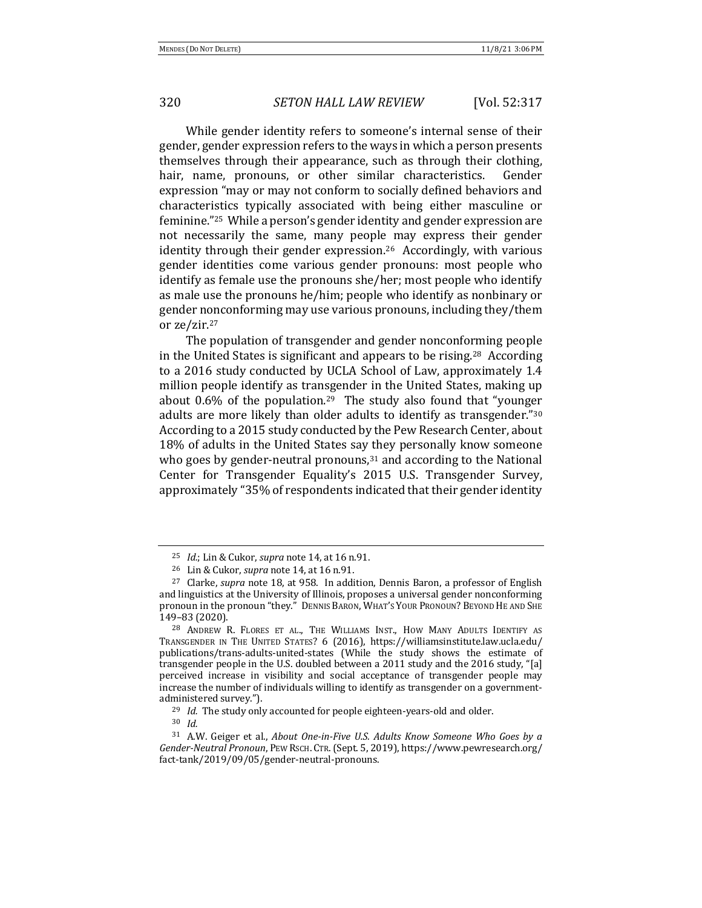While gender identity refers to someone's internal sense of their gender, gender expression refers to the ways in which a person presents themselves through their appearance, such as through their clothing, hair, name, pronouns, or other similar characteristics. Gender expression "may or may not conform to socially defined behaviors and characteristics typically associated with being either masculine or feminine."<sup>25</sup> While a person's gender identity and gender expression are not necessarily the same, many people may express their gender identity through their gender expression.<sup>26</sup> Accordingly, with various gender identities come various gender pronouns: most people who identify as female use the pronouns she/her; most people who identify as male use the pronouns he/him; people who identify as nonbinary or gender nonconforming may use various pronouns, including they/them or ze/zir.<sup>27</sup>

The population of transgender and gender nonconforming people in the United States is significant and appears to be rising.<sup>28</sup> According to a 2016 study conducted by UCLA School of Law, approximately 1.4 million people identify as transgender in the United States, making up about  $0.6\%$  of the population.<sup>29</sup> The study also found that "younger adults are more likely than older adults to identify as transgender."<sup>30</sup> According to a 2015 study conducted by the Pew Research Center, about 18% of adults in the United States say they personally know someone who goes by gender-neutral pronouns, $31$  and according to the National Center for Transgender Equality's 2015 U.S. Transgender Survey, approximately "35% of respondents indicated that their gender identity

<sup>25</sup> *Id.*; Lin & Cukor, *supra* note 14, at 16 n.91.

<sup>&</sup>lt;sup>26</sup> Lin & Cukor, *supra* note 14, at 16 n.91.

<sup>&</sup>lt;sup>27</sup> Clarke, *supra* note 18, at 958. In addition, Dennis Baron, a professor of English and linguistics at the University of Illinois, proposes a universal gender nonconforming pronoun in the pronoun "they." DENNIS BARON, WHAT'S YOUR PRONOUN? BEYOND HE AND SHE 149–83 (2020).

<sup>&</sup>lt;sup>28</sup> ANDREW R. FLORES ET AL., THE WILLIAMS INST., HOW MANY ADULTS IDENTIFY AS TRANSGENDER IN THE UNITED STATES? 6 (2016), https://williamsinstitute.law.ucla.edu/ publications/trans-adults-united-states (While the study shows the estimate of transgender people in the U.S. doubled between a 2011 study and the 2016 study, "[a] perceived increase in visibility and social acceptance of transgender people may increase the number of individuals willing to identify as transgender on a governmentadministered survey.").

<sup>&</sup>lt;sup>29</sup> *Id.* The study only accounted for people eighteen-years-old and older.

<sup>30</sup> *Id.*

<sup>&</sup>lt;sup>31</sup> A.W. Geiger et al., *About One-in-Five U.S. Adults Know Someone Who Goes by a* Gender-Neutral Pronoun, PEW RSCH. CTR. (Sept. 5, 2019), https://www.pewresearch.org/ fact-tank/2019/09/05/gender-neutral-pronouns.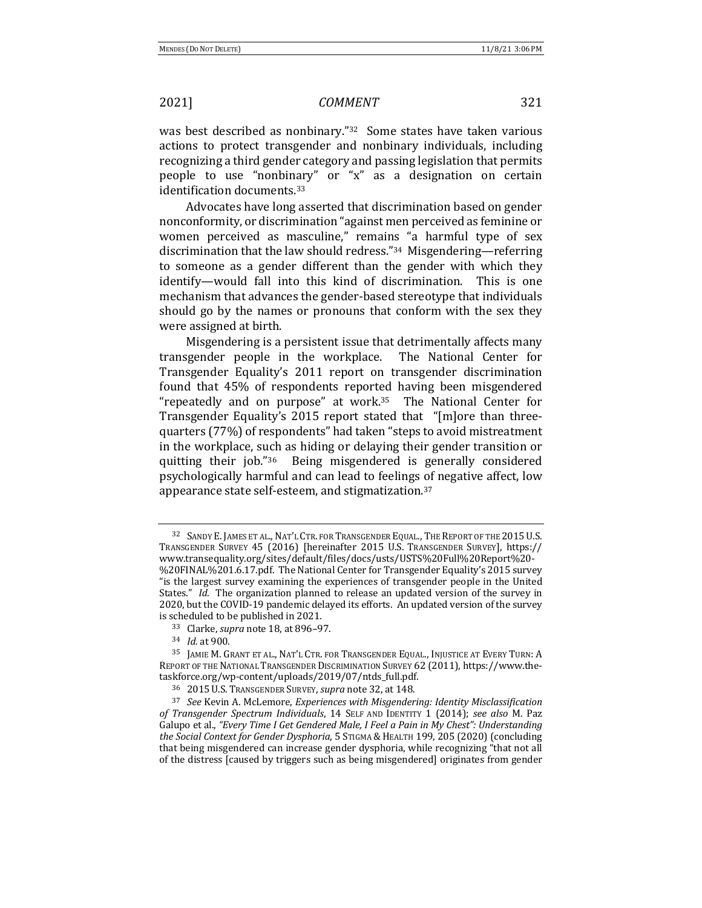was best described as nonbinary."<sup>32</sup> Some states have taken various actions to protect transgender and nonbinary individuals, including recognizing a third gender category and passing legislation that permits people to use "nonbinary" or "x" as a designation on certain identification documents.<sup>33</sup>

Advocates have long asserted that discrimination based on gender nonconformity, or discrimination "against men perceived as feminine or women perceived as masculine," remains "a harmful type of sex discrimination that the law should redress."<sup>34</sup> Misgendering—referring to someone as a gender different than the gender with which they identify—would fall into this kind of discrimination. This is one mechanism that advances the gender-based stereotype that individuals should go by the names or pronouns that conform with the sex they were assigned at birth.

Misgendering is a persistent issue that detrimentally affects many transgender people in the workplace. The National Center for Transgender Equality's 2011 report on transgender discrimination found that 45% of respondents reported having been misgendered "repeatedly and on purpose" at work. $35$  The National Center for Transgender Equality's 2015 report stated that "[m]ore than threequarters (77%) of respondents" had taken "steps to avoid mistreatment in the workplace, such as hiding or delaying their gender transition or quitting their job." $36$  Being misgendered is generally considered psychologically harmful and can lead to feelings of negative affect, low appearance state self-esteem, and stigmatization.<sup>37</sup>

<sup>&</sup>lt;sup>32</sup> SANDY E. JAMES ET AL., NAT'L CTR. FOR TRANSGENDER EQUAL., THE REPORT OF THE 2015 U.S. TRANSGENDER SURVEY 45 (2016) [hereinafter 2015 U.S. TRANSGENDER SURVEY], https:// www.transequality.org/sites/default/files/docs/usts/USTS%20Full%20Report%20- %20FINAL%201.6.17.pdf. The National Center for Transgender Equality's 2015 survey "is the largest survey examining the experiences of transgender people in the United States." *Id.* The organization planned to release an updated version of the survey in 2020, but the COVID-19 pandemic delayed its efforts. An updated version of the survey is scheduled to be published in 2021.

<sup>33</sup> Clarke, *supra* note 18, at 896-97.

<sup>34</sup> *Id.* at 900.

<sup>&</sup>lt;sup>35</sup> JAMIE M. GRANT ET AL., NAT'L CTR. FOR TRANSGENDER EQUAL., INJUSTICE AT EVERY TURN: A REPORT OF THE NATIONAL TRANSGENDER DISCRIMINATION SURVEY 62 (2011), https://www.thetaskforce.org/wp-content/uploads/2019/07/ntds\_full.pdf.

<sup>&</sup>lt;sup>36</sup> 2015 U.S. TRANSGENDER SURVEY, *supra* note 32, at 148.

<sup>&</sup>lt;sup>37</sup> See Kevin A. McLemore, *Experiences with Misgendering: Identity Misclassification* of Transgender Spectrum Individuals, 14 SELF AND IDENTITY 1 (2014); see also M. Paz Galupo et al., "Every Time I Get Gendered Male, I Feel a Pain in My Chest": Understanding the Social Context for Gender Dysphoria, 5 STIGMA & HEALTH 199, 205 (2020) (concluding that being misgendered can increase gender dysphoria, while recognizing "that not all of the distress [caused by triggers such as being misgendered] originates from gender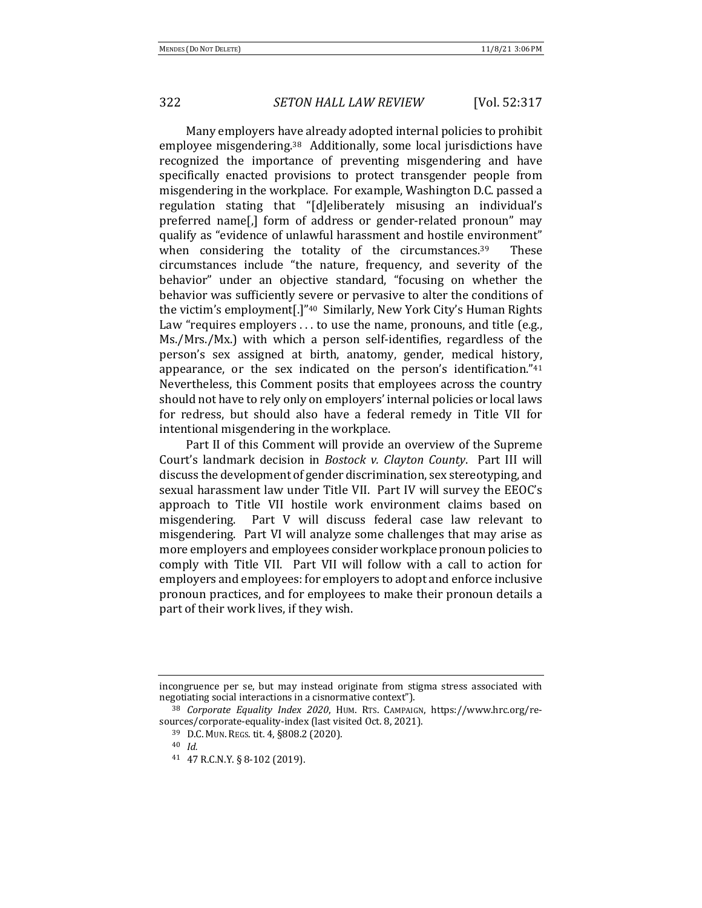Many employers have already adopted internal policies to prohibit employee misgendering.<sup>38</sup> Additionally, some local jurisdictions have recognized the importance of preventing misgendering and have specifically enacted provisions to protect transgender people from misgendering in the workplace. For example, Washington D.C. passed a regulation stating that "[d]eliberately misusing an individual's preferred name[,] form of address or gender-related pronoun" may qualify as "evidence of unlawful harassment and hostile environment" when considering the totality of the circumstances. $39$  These circumstances include "the nature, frequency, and severity of the behavior" under an objective standard, "focusing on whether the behavior was sufficiently severe or pervasive to alter the conditions of the victim's employment[.]"<sup>40</sup> Similarly, New York City's Human Rights Law "requires employers  $\dots$  to use the name, pronouns, and title (e.g., Ms./Mrs./Mx.) with which a person self-identifies, regardless of the person's sex assigned at birth, anatomy, gender, medical history, appearance, or the sex indicated on the person's identification." $41$ Nevertheless, this Comment posits that employees across the country should not have to rely only on employers' internal policies or local laws for redress, but should also have a federal remedy in Title VII for intentional misgendering in the workplace.

Part II of this Comment will provide an overview of the Supreme Court's landmark decision in *Bostock v. Clayton County*. Part III will discuss the development of gender discrimination, sex stereotyping, and sexual harassment law under Title VII. Part IV will survey the EEOC's approach to Title VII hostile work environment claims based on misgendering. Part V will discuss federal case law relevant to misgendering. Part VI will analyze some challenges that may arise as more employers and employees consider workplace pronoun policies to comply with Title VII. Part VII will follow with a call to action for employers and employees: for employers to adopt and enforce inclusive pronoun practices, and for employees to make their pronoun details a part of their work lives, if they wish.

incongruence per se, but may instead originate from stigma stress associated with negotiating social interactions in a cisnormative context").

<sup>&</sup>lt;sup>38</sup> Corporate Equality Index 2020, HUM. RTS. CAMPAIGN, https://www.hrc.org/resources/corporate-equality-index (last visited Oct. 8, 2021).

<sup>39</sup> D.C. MUN. REGS. tit. 4, §808.2 (2020).

<sup>40</sup> *Id.*

<sup>41 47</sup> R.C.N.Y. § 8-102 (2019).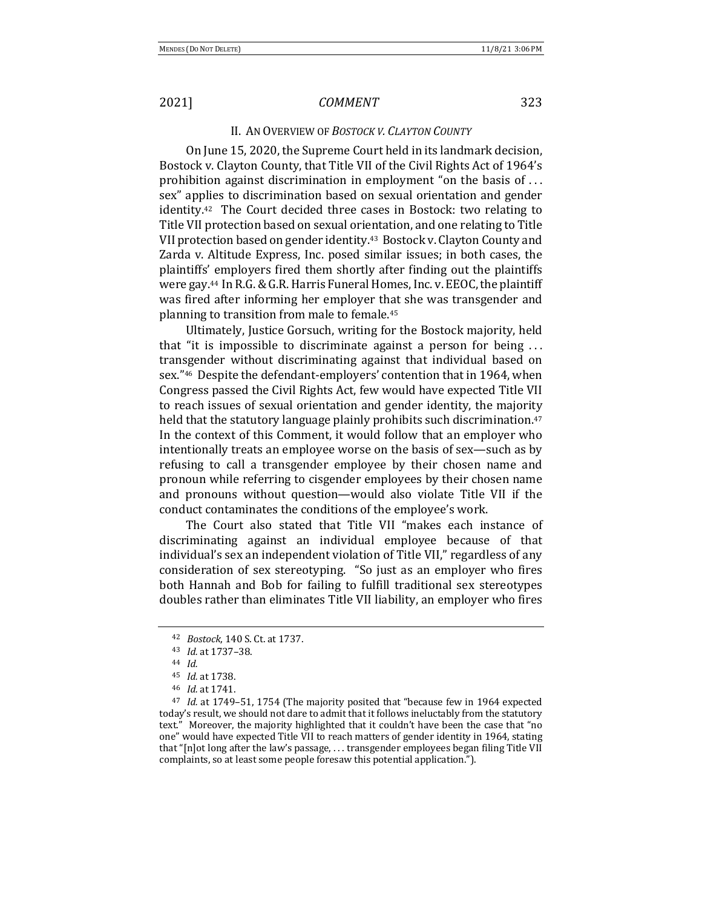## II. AN OVERVIEW OF BOSTOCK V. CLAYTON COUNTY

On June 15, 2020, the Supreme Court held in its landmark decision, Bostock v. Clayton County, that Title VII of the Civil Rights Act of 1964's prohibition against discrimination in employment "on the basis of  $\dots$ sex" applies to discrimination based on sexual orientation and gender  $id$ entity.<sup>42</sup> The Court decided three cases in Bostock: two relating to Title VII protection based on sexual orientation, and one relating to Title VII protection based on gender identity.<sup>43</sup> Bostock v. Clayton County and Zarda v. Altitude Express, Inc. posed similar issues; in both cases, the plaintiffs' employers fired them shortly after finding out the plaintiffs were gay.<sup>44</sup> In R.G. & G.R. Harris Funeral Homes, Inc. v. EEOC, the plaintiff was fired after informing her employer that she was transgender and planning to transition from male to female.<sup>45</sup>

Ultimately, Justice Gorsuch, writing for the Bostock majority, held that "it is impossible to discriminate against a person for being  $\dots$ transgender without discriminating against that individual based on sex."<sup>46</sup> Despite the defendant-employers' contention that in 1964, when Congress passed the Civil Rights Act, few would have expected Title VII to reach issues of sexual orientation and gender identity, the majority held that the statutory language plainly prohibits such discrimination.<sup>47</sup> In the context of this Comment, it would follow that an employer who intentionally treats an employee worse on the basis of sex—such as by refusing to call a transgender employee by their chosen name and pronoun while referring to cisgender employees by their chosen name and pronouns without question—would also violate Title VII if the conduct contaminates the conditions of the employee's work.

The Court also stated that Title VII "makes each instance of discriminating against an individual employee because of that individual's sex an independent violation of Title VII," regardless of any consideration of sex stereotyping. "So just as an employer who fires both Hannah and Bob for failing to fulfill traditional sex stereotypes doubles rather than eliminates Title VII liability, an employer who fires

<sup>42</sup> *Bostock*, 140 S. Ct. at 1737.

<sup>43</sup> *Id.* at 1737–38.

<sup>44</sup> *Id.*

<sup>45</sup> *Id.* at 1738.

<sup>46</sup> *Id.* at 1741.

<sup>&</sup>lt;sup>47</sup> *Id.* at 1749–51, 1754 (The majority posited that "because few in 1964 expected today's result, we should not dare to admit that it follows ineluctably from the statutory text." Moreover, the majority highlighted that it couldn't have been the case that "no one" would have expected Title VII to reach matters of gender identity in 1964, stating that "[n]ot long after the law's passage, ... transgender employees began filing Title VII complaints, so at least some people foresaw this potential application.").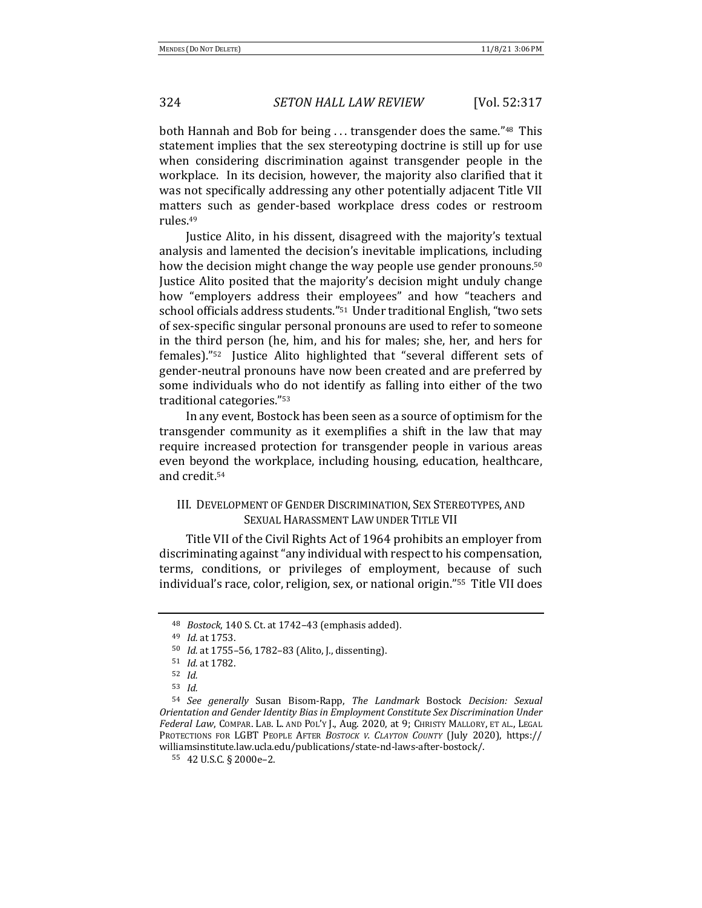both Hannah and Bob for being ... transgender does the same."48 This statement implies that the sex stereotyping doctrine is still up for use when considering discrimination against transgender people in the workplace. In its decision, however, the majority also clarified that it was not specifically addressing any other potentially adjacent Title VII matters such as gender-based workplace dress codes or restroom rules.49

Justice Alito, in his dissent, disagreed with the majority's textual analysis and lamented the decision's inevitable implications, including how the decision might change the way people use gender pronouns.<sup>50</sup> Justice Alito posited that the majority's decision might unduly change how "employers address their employees" and how "teachers and school officials address students."<sup>51</sup> Under traditional English, "two sets of sex-specific singular personal pronouns are used to refer to someone in the third person (he, him, and his for males; she, her, and hers for females)."<sup>52</sup> Justice Alito highlighted that "several different sets of gender-neutral pronouns have now been created and are preferred by some individuals who do not identify as falling into either of the two traditional categories."<sup>53</sup>

In any event, Bostock has been seen as a source of optimism for the transgender community as it exemplifies a shift in the law that may require increased protection for transgender people in various areas even beyond the workplace, including housing, education, healthcare, and credit.54

# III. DEVELOPMENT OF GENDER DISCRIMINATION, SEX STEREOTYPES, AND SEXUAL HARASSMENT LAW UNDER TITLE VII

Title VII of the Civil Rights Act of 1964 prohibits an employer from discriminating against "any individual with respect to his compensation, terms, conditions, or privileges of employment, because of such individual's race, color, religion, sex, or national origin."<sup>55</sup> Title VII does

<sup>&</sup>lt;sup>48</sup> *Bostock*, 140 S. Ct. at 1742-43 (emphasis added).

<sup>49</sup> *Id.* at 1753.

<sup>&</sup>lt;sup>50</sup> *Id.* at 1755–56, 1782–83 (Alito, J., dissenting).

<sup>51</sup> *Id.* at 1782.

<sup>52</sup> *Id.*

<sup>53</sup> *Id.*

<sup>54</sup> *See generally*  Susan Bisom-Rapp, *The Landmark*  Bostock *Decision: Sexual Orientation and Gender Identity Bias in Employment Constitute Sex Discrimination Under* Federal Law, COMPAR. LAB. L. AND POL'Y J., Aug. 2020, at 9; CHRISTY MALLORY, ET AL., LEGAL PROTECTIONS FOR LGBT PEOPLE AFTER *BOSTOCK V. CLAYTON COUNTY* (July 2020), https:// williamsinstitute.law.ucla.edu/publications/state-nd-laws-after-bostock/.

<sup>55 42</sup> U.S.C. § 2000e-2.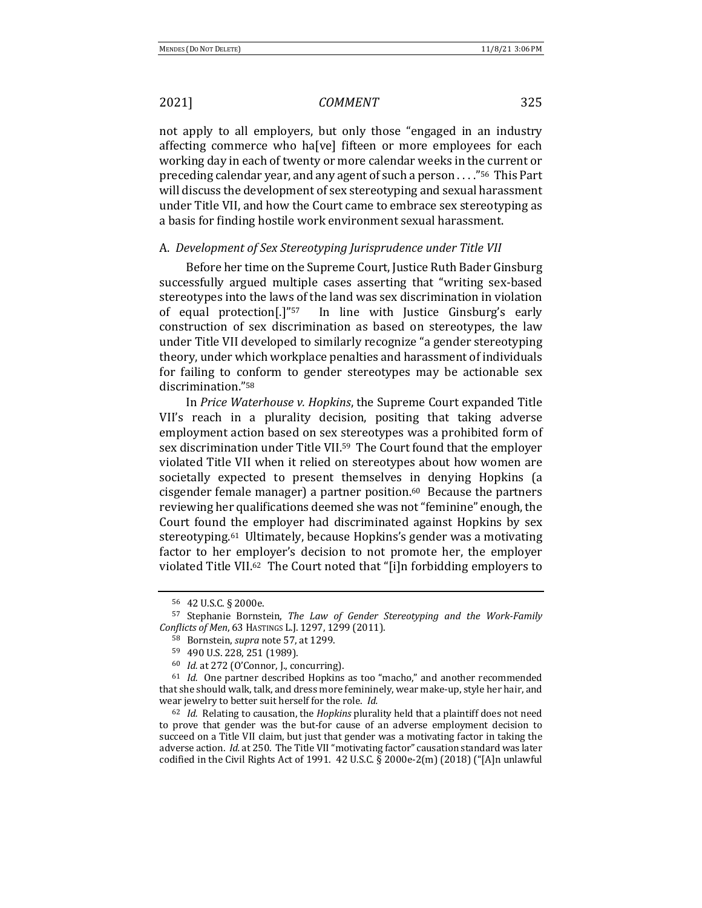not apply to all employers, but only those "engaged in an industry affecting commerce who ha[ve] fifteen or more employees for each working day in each of twenty or more calendar weeks in the current or preceding calendar year, and any agent of such a person  $\dots$ ."<sup>56</sup> This Part will discuss the development of sex stereotyping and sexual harassment under Title VII, and how the Court came to embrace sex stereotyping as a basis for finding hostile work environment sexual harassment.

### A. Development of Sex Stereotyping Jurisprudence under Title VII

Before her time on the Supreme Court, Justice Ruth Bader Ginsburg successfully argued multiple cases asserting that "writing sex-based stereotypes into the laws of the land was sex discrimination in violation of equal protection<sup>[1]"57</sup> In line with Justice Ginsburg's early construction of sex discrimination as based on stereotypes, the law under Title VII developed to similarly recognize "a gender stereotyping theory, under which workplace penalties and harassment of individuals for failing to conform to gender stereotypes may be actionable sex discrimination."58

In *Price Waterhouse v. Hopkins*, the Supreme Court expanded Title VII's reach in a plurality decision, positing that taking adverse employment action based on sex stereotypes was a prohibited form of sex discrimination under Title VII.<sup>59</sup> The Court found that the employer violated Title VII when it relied on stereotypes about how women are societally expected to present themselves in denying Hopkins (a cisgender female manager) a partner position. $60$  Because the partners reviewing her qualifications deemed she was not "feminine" enough, the Court found the employer had discriminated against Hopkins by sex stereotyping.<sup>61</sup> Ultimately, because Hopkins's gender was a motivating factor to her employer's decision to not promote her, the employer violated Title VII.<sup>62</sup> The Court noted that "[i]n forbidding employers to

<sup>56</sup> 42 U.S.C. § 2000e.

<sup>57</sup> Stephanie Bornstein, *The Law of Gender Stereotyping and the Work-Family Conflicts of Men*, 63 HASTINGS L.J. 1297, 1299 (2011).

<sup>58</sup> Bornstein, *supra* note 57, at 1299.

<sup>59 490</sup> U.S. 228, 251 (1989).

<sup>&</sup>lt;sup>60</sup> *Id.* at 272 (O'Connor, J., concurring).

 $61$  *Id.* One partner described Hopkins as too "macho," and another recommended that she should walk, talk, and dress more femininely, wear make-up, style her hair, and wear jewelry to better suit herself for the role. *Id.* 

<sup>&</sup>lt;sup>62</sup> *Id.* Relating to causation, the *Hopkins* plurality held that a plaintiff does not need to prove that gender was the but-for cause of an adverse employment decision to succeed on a Title VII claim, but just that gender was a motivating factor in taking the adverse action. *Id.* at 250. The Title VII "motivating factor" causation standard was later codified in the Civil Rights Act of 1991.  $42$  U.S.C. § 2000e-2(m) (2018) ("[A]n unlawful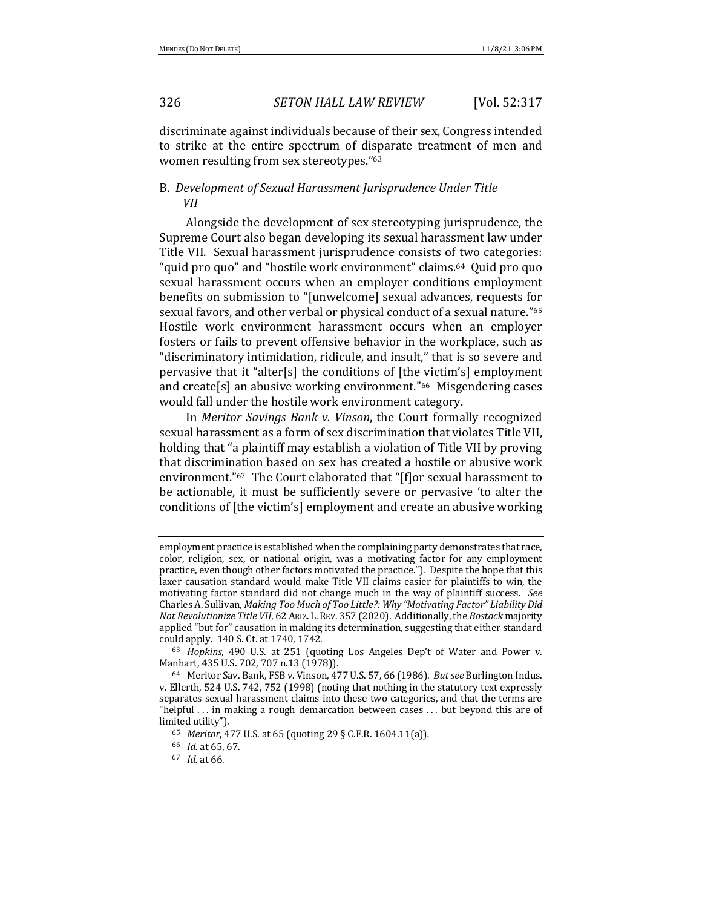discriminate against individuals because of their sex, Congress intended to strike at the entire spectrum of disparate treatment of men and women resulting from sex stereotypes."<sup>63</sup>

# B. Development of Sexual Harassment Jurisprudence Under Title *VII*

Alongside the development of sex stereotyping jurisprudence, the Supreme Court also began developing its sexual harassment law under Title VII. Sexual harassment jurisprudence consists of two categories: " quid pro quo" and "hostile work environment" claims.<sup>64</sup> Quid pro quo sexual harassment occurs when an employer conditions employment benefits on submission to "[unwelcome] sexual advances, requests for sexual favors, and other verbal or physical conduct of a sexual nature."<sup>65</sup> Hostile work environment harassment occurs when an employer fosters or fails to prevent offensive behavior in the workplace, such as "discriminatory intimidation, ridicule, and insult," that is so severe and pervasive that it "alter[s] the conditions of [the victim's] employment and create[s] an abusive working environment."<sup>66</sup> Misgendering cases would fall under the hostile work environment category.

In *Meritor Savings Bank v. Vinson*, the Court formally recognized sexual harassment as a form of sex discrimination that violates Title VII, holding that "a plaintiff may establish a violation of Title VII by proving that discrimination based on sex has created a hostile or abusive work environment."<sup>67</sup> The Court elaborated that "[f]or sexual harassment to be actionable, it must be sufficiently severe or pervasive 'to alter the conditions of [the victim's] employment and create an abusive working

employment practice is established when the complaining party demonstrates that race, color, religion, sex, or national origin, was a motivating factor for any employment practice, even though other factors motivated the practice."). Despite the hope that this laxer causation standard would make Title VII claims easier for plaintiffs to win, the motivating factor standard did not change much in the way of plaintiff success. See Charles A. Sullivan, *Making Too Much of Too Little?: Why "Motivating Factor" Liability Did Not Revolutionize Title VII*, 62 ARIZ. L. REV. 357 (2020). Additionally, the *Bostock* majority applied "but for" causation in making its determination, suggesting that either standard could apply. 140 S. Ct. at 1740, 1742.

<sup>&</sup>lt;sup>63</sup> *Hopkins*, 490 U.S. at 251 (quoting Los Angeles Dep't of Water and Power v. Manhart, 435 U.S. 702, 707 n.13 (1978)).

<sup>&</sup>lt;sup>64</sup> Meritor Sav. Bank, FSB v. Vinson, 477 U.S. 57, 66 (1986). *But see* Burlington Indus. v. Ellerth, 524 U.S. 742, 752 (1998) (noting that nothing in the statutory text expressly separates sexual harassment claims into these two categories, and that the terms are "helpful  $\ldots$  in making a rough demarcation between cases  $\ldots$  but beyond this are of limited utility").

<sup>65</sup> *Meritor*, 477 U.S. at 65 (quoting 29 § C.F.R. 1604.11(a))*.*

<sup>66</sup> *Id.* at 65, 67.

<sup>67</sup> *Id.* at 66.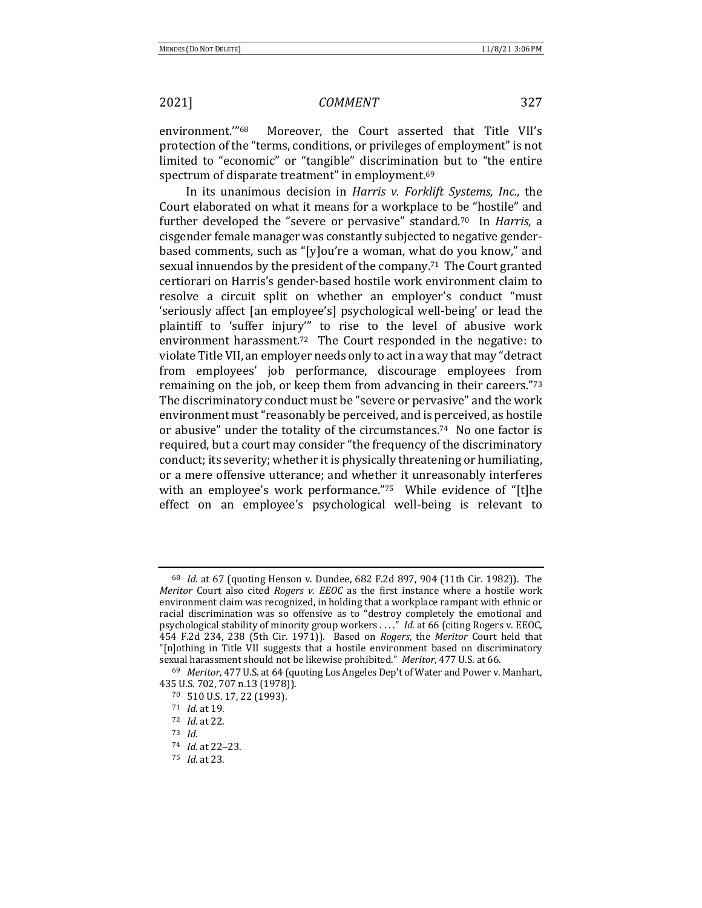environment."<sup>68</sup> Moreover, the Court asserted that Title VII's protection of the "terms, conditions, or privileges of employment" is not limited to "economic" or "tangible" discrimination but to "the entire spectrum of disparate treatment" in employment.<sup>69</sup>

In its unanimous decision in *Harris v. Forklift Systems, Inc.*, the Court elaborated on what it means for a workplace to be "hostile" and further developed the "severe or pervasive" standard.<sup>70</sup> In *Harris*, a cisgender female manager was constantly subjected to negative genderbased comments, such as "[y]ou're a woman, what do you know," and sexual innuendos by the president of the company.<sup>71</sup> The Court granted certiorari on Harris's gender-based hostile work environment claim to resolve a circuit split on whether an employer's conduct "must 'seriously affect [an employee's] psychological well-being' or lead the plaintiff to 'suffer injury'" to rise to the level of abusive work environment harassment.<sup>72</sup> The Court responded in the negative: to violate Title VII, an employer needs only to act in a way that may "detract from employees' job performance, discourage employees from remaining on the job, or keep them from advancing in their careers." $73$ The discriminatory conduct must be "severe or pervasive" and the work environment must "reasonably be perceived, and is perceived, as hostile or abusive" under the totality of the circumstances.<sup>74</sup> No one factor is required, but a court may consider "the frequency of the discriminatory conduct; its severity; whether it is physically threatening or humiliating, or a mere offensive utterance; and whether it unreasonably interferes with an employee's work performance." $75$  While evidence of "[t]he effect on an employee's psychological well-being is relevant to

<sup>&</sup>lt;sup>68</sup> *Id.* at 67 (quoting Henson v. Dundee, 682 F.2d 897, 904 (11th Cir. 1982)). The *Meritor* Court also cited *Rogers v. EEOC* as the first instance where a hostile work environment claim was recognized, in holding that a workplace rampant with ethnic or racial discrimination was so offensive as to "destroy completely the emotional and psychological stability of minority group workers ....<sup>"</sup> *Id.* at 66 (citing Rogers v. EEOC, 454 F.2d 234, 238 (5th Cir. 1971)). Based on *Rogers*, the *Meritor* Court held that "[n]othing in Title VII suggests that a hostile environment based on discriminatory sexual harassment should not be likewise prohibited." *Meritor*, 477 U.S. at 66.

<sup>&</sup>lt;sup>69</sup> Meritor, 477 U.S. at 64 (quoting Los Angeles Dep't of Water and Power v. Manhart, 435 U.S. 702, 707 n.13 (1978)).

<sup>70 510</sup> U.S. 17, 22 (1993).

<sup>71</sup> *Id.* at 19.

<sup>72</sup> *Id.* at 22.

<sup>73</sup> *Id.*

<sup>74</sup> *Id.* at 22-23.

<sup>75</sup> *Id*. at 23.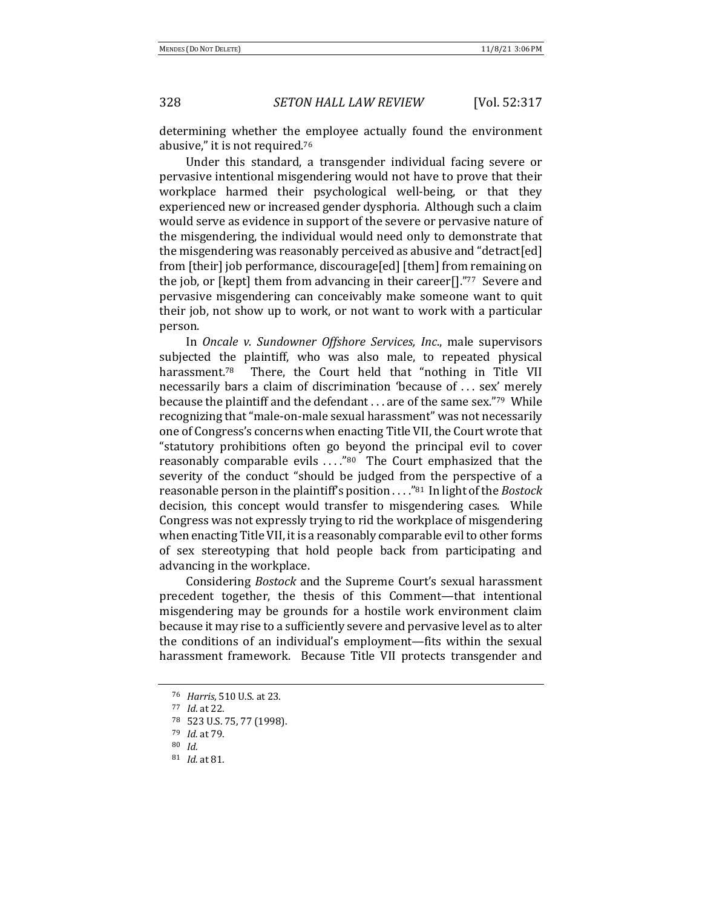determining whether the employee actually found the environment abusive," it is not required.<sup>76</sup>

Under this standard, a transgender individual facing severe or pervasive intentional misgendering would not have to prove that their workplace harmed their psychological well-being, or that they experienced new or increased gender dysphoria. Although such a claim would serve as evidence in support of the severe or pervasive nature of the misgendering, the individual would need only to demonstrate that the misgendering was reasonably perceived as abusive and "detract[ed] from [their] job performance, discourage[ed] [them] from remaining on the job, or [kept] them from advancing in their career[]."77 Severe and pervasive misgendering can conceivably make someone want to quit their job, not show up to work, or not want to work with a particular person.

In *Oncale v. Sundowner Offshore Services, Inc.*, male supervisors subjected the plaintiff, who was also male, to repeated physical harassment.<sup>78</sup> There, the Court held that "nothing in Title VII necessarily bars a claim of discrimination 'because of ... sex' merely because the plaintiff and the defendant  $\dots$  are of the same sex."<sup>79</sup> While recognizing that "male-on-male sexual harassment" was not necessarily one of Congress's concerns when enacting Title VII, the Court wrote that "statutory prohibitions often go beyond the principal evil to cover reasonably comparable evils  $\dots$ "80 The Court emphasized that the severity of the conduct "should be judged from the perspective of a reasonable person in the plaintiff's position . . . . "81 In light of the *Bostock* decision, this concept would transfer to misgendering cases. While Congress was not expressly trying to rid the workplace of misgendering when enacting Title VII, it is a reasonably comparable evil to other forms of sex stereotyping that hold people back from participating and advancing in the workplace.

Considering *Bostock* and the Supreme Court's sexual harassment precedent together, the thesis of this Comment—that intentional misgendering may be grounds for a hostile work environment claim because it may rise to a sufficiently severe and pervasive level as to alter the conditions of an individual's employment—fits within the sexual harassment framework. Because Title VII protects transgender and

<sup>76</sup> *Harris*, 510 U.S. at 23.

<sup>77</sup> *Id*. at 22.

<sup>78 523</sup> U.S. 75, 77 (1998).

<sup>79</sup> *Id.* at 79.

<sup>80</sup> *Id.*

<sup>81</sup> *Id.* at 81.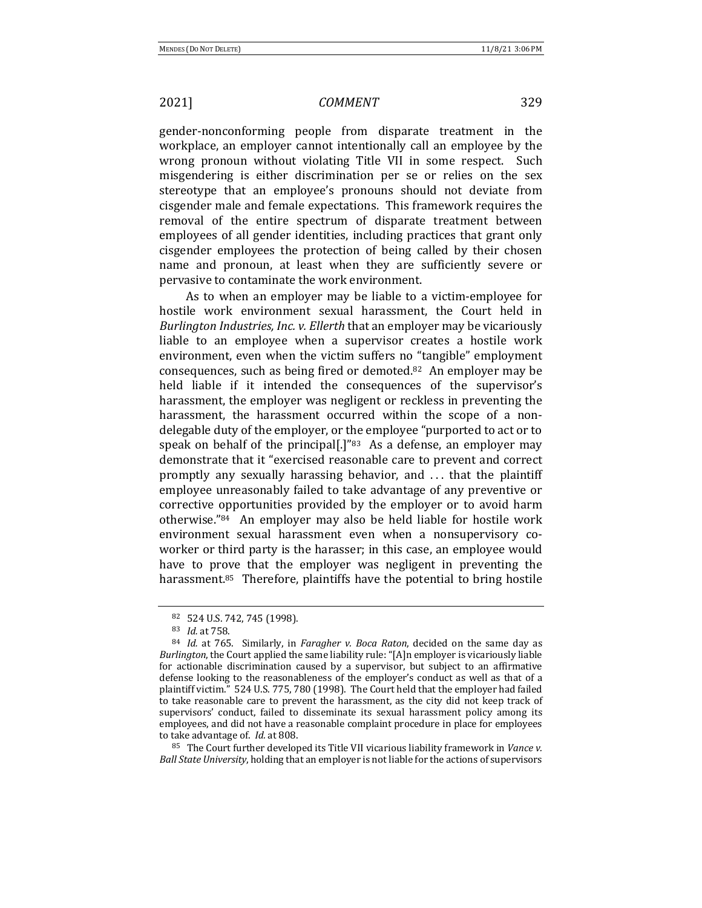gender-nonconforming people from disparate treatment in the workplace, an employer cannot intentionally call an employee by the wrong pronoun without violating Title VII in some respect. Such misgendering is either discrimination per se or relies on the sex stereotype that an employee's pronouns should not deviate from cisgender male and female expectations. This framework requires the removal of the entire spectrum of disparate treatment between employees of all gender identities, including practices that grant only cisgender employees the protection of being called by their chosen name and pronoun, at least when they are sufficiently severe or pervasive to contaminate the work environment.

As to when an employer may be liable to a victim-employee for hostile work environment sexual harassment, the Court held in *Burlington Industries, Inc. v. Ellerth* that an employer may be vicariously liable to an employee when a supervisor creates a hostile work environment, even when the victim suffers no "tangible" employment consequences, such as being fired or demoted.<sup>82</sup> An employer may be held liable if it intended the consequences of the supervisor's harassment, the employer was negligent or reckless in preventing the harassment, the harassment occurred within the scope of a nondelegable duty of the employer, or the employee "purported to act or to speak on behalf of the principal[.]"<sup>83</sup> As a defense, an employer may demonstrate that it "exercised reasonable care to prevent and correct promptly any sexually harassing behavior, and ... that the plaintiff employee unreasonably failed to take advantage of any preventive or corrective opportunities provided by the employer or to avoid harm otherwise."<sup>84</sup> An employer may also be held liable for hostile work environment sexual harassment even when a nonsupervisory coworker or third party is the harasser; in this case, an employee would have to prove that the employer was negligent in preventing the harassment.<sup>85</sup> Therefore, plaintiffs have the potential to bring hostile

 $85$  The Court further developed its Title VII vicarious liability framework in *Vance v. Ball State University*, holding that an employer is not liable for the actions of supervisors

<sup>82 524</sup> U.S. 742, 745 (1998).

<sup>83</sup> *Id.* at 758.

<sup>84</sup> *Id.* at 765. Similarly, in *Faragher v. Boca Raton*, decided on the same day as *Burlington*, the Court applied the same liability rule: "[A]n employer is vicariously liable for actionable discrimination caused by a supervisor, but subject to an affirmative defense looking to the reasonableness of the employer's conduct as well as that of a plaintiff victim." 524 U.S. 775, 780 (1998). The Court held that the employer had failed to take reasonable care to prevent the harassment, as the city did not keep track of supervisors' conduct, failed to disseminate its sexual harassment policy among its employees, and did not have a reasonable complaint procedure in place for employees to take advantage of. *Id.* at 808.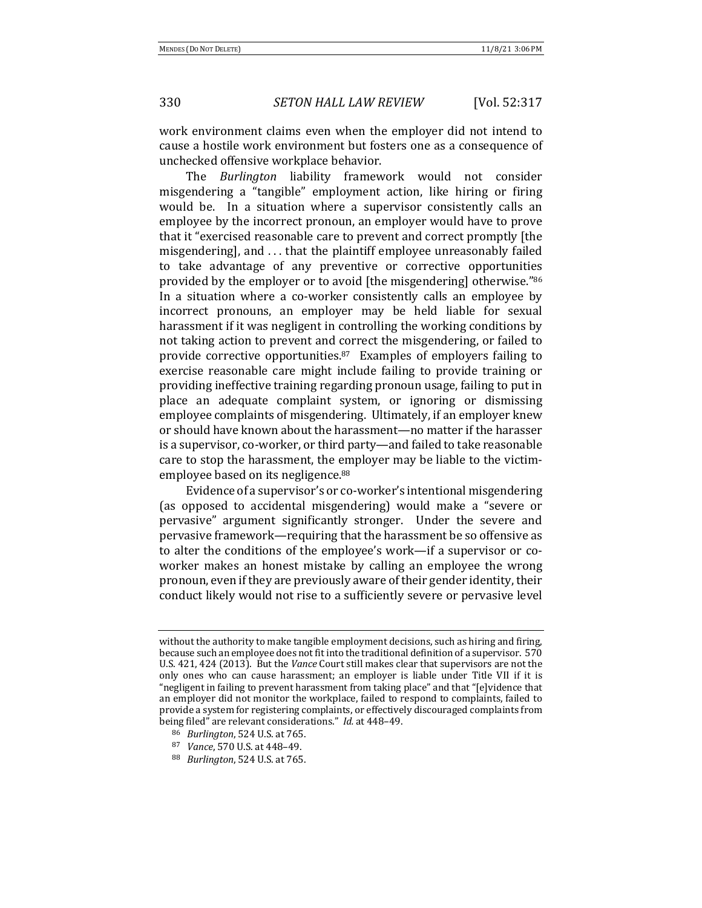work environment claims even when the employer did not intend to cause a hostile work environment but fosters one as a consequence of unchecked offensive workplace behavior.

The *Burlington* liability framework would not consider misgendering a "tangible" employment action, like hiring or firing would be. In a situation where a supervisor consistently calls an employee by the incorrect pronoun, an employer would have to prove that it "exercised reasonable care to prevent and correct promptly [the misgendering], and  $\dots$  that the plaintiff employee unreasonably failed to take advantage of any preventive or corrective opportunities provided by the employer or to avoid [the misgendering] otherwise."<sup>86</sup> In a situation where a co-worker consistently calls an employee by incorrect pronouns, an employer may be held liable for sexual harassment if it was negligent in controlling the working conditions by not taking action to prevent and correct the misgendering, or failed to provide corrective opportunities. $87$  Examples of employers failing to exercise reasonable care might include failing to provide training or providing ineffective training regarding pronoun usage, failing to put in place an adequate complaint system, or ignoring or dismissing employee complaints of misgendering. Ultimately, if an employer knew or should have known about the harassment—no matter if the harasser is a supervisor, co-worker, or third party—and failed to take reasonable care to stop the harassment, the employer may be liable to the victimemployee based on its negligence.<sup>88</sup>

Evidence of a supervisor's or co-worker's intentional misgendering (as opposed to accidental misgendering) would make a "severe or pervasive" argument significantly stronger. Under the severe and pervasive framework—requiring that the harassment be so offensive as to alter the conditions of the employee's work—if a supervisor or coworker makes an honest mistake by calling an employee the wrong pronoun, even if they are previously aware of their gender identity, their conduct likely would not rise to a sufficiently severe or pervasive level

<sup>86</sup> *Burlington*, 524 U.S. at 765.

without the authority to make tangible employment decisions, such as hiring and firing, because such an employee does not fit into the traditional definition of a supervisor. 570 U.S. 421, 424 (2013). But the *Vance* Court still makes clear that supervisors are not the only ones who can cause harassment; an employer is liable under Title VII if it is "negligent in failing to prevent harassment from taking place" and that "[e]vidence that an employer did not monitor the workplace, failed to respond to complaints, failed to provide a system for registering complaints, or effectively discouraged complaints from being filed" are relevant considerations." *Id.* at 448-49.

<sup>87</sup> *Vance*, 570 U.S. at 448-49.

<sup>88</sup> *Burlington*, 524 U.S. at 765.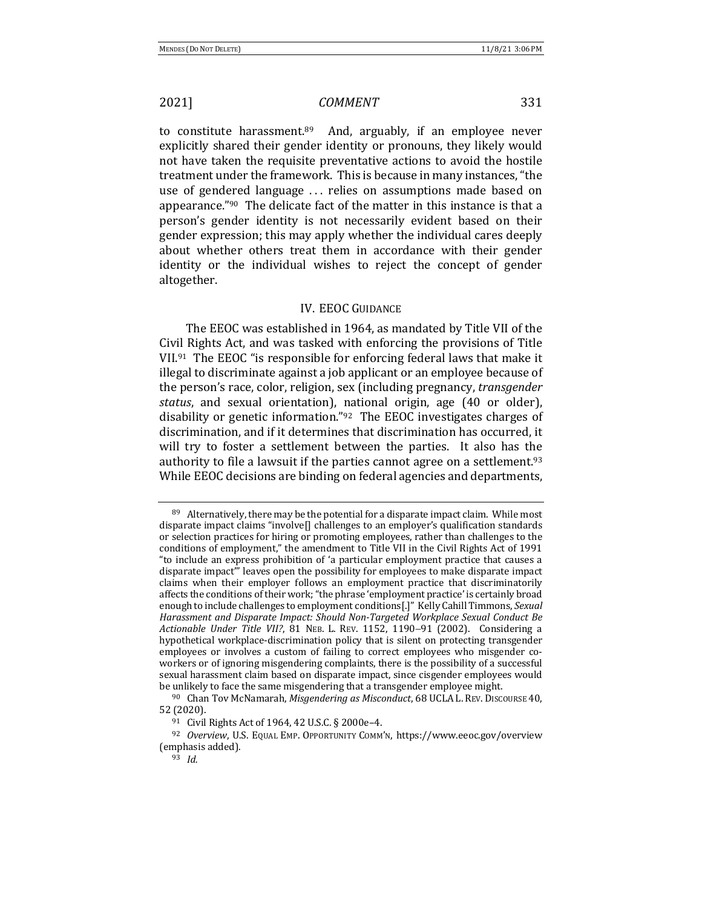to constitute harassment.<sup>89</sup> And, arguably, if an employee never explicitly shared their gender identity or pronouns, they likely would not have taken the requisite preventative actions to avoid the hostile treatment under the framework. This is because in many instances, "the use of gendered language ... relies on assumptions made based on appearance." $90$  The delicate fact of the matter in this instance is that a person's gender identity is not necessarily evident based on their gender expression; this may apply whether the individual cares deeply about whether others treat them in accordance with their gender identity or the individual wishes to reject the concept of gender altogether. 

## **IV. EEOC GUIDANCE**

The EEOC was established in 1964, as mandated by Title VII of the Civil Rights Act, and was tasked with enforcing the provisions of Title VII. $91$  The EEOC "is responsible for enforcing federal laws that make it illegal to discriminate against a job applicant or an employee because of the person's race, color, religion, sex (including pregnancy, *transgender status*, and sexual orientation), national origin, age (40 or older), disability or genetic information."92 The EEOC investigates charges of discrimination, and if it determines that discrimination has occurred, it will try to foster a settlement between the parties. It also has the authority to file a lawsuit if the parties cannot agree on a settlement.<sup>93</sup> While EEOC decisions are binding on federal agencies and departments,

 $89$  Alternatively, there may be the potential for a disparate impact claim. While most disparate impact claims "involve $[]$  challenges to an employer's qualification standards or selection practices for hiring or promoting employees, rather than challenges to the conditions of employment," the amendment to Title VII in the Civil Rights Act of 1991 "to include an express prohibition of 'a particular employment practice that causes a disparate impact" leaves open the possibility for employees to make disparate impact claims when their employer follows an employment practice that discriminatorily affects the conditions of their work; "the phrase 'employment practice' is certainly broad enough to include challenges to employment conditions[.]" Kelly Cahill Timmons, Sexual Harassment and Disparate Impact: Should Non-Targeted Workplace Sexual Conduct Be Actionable Under Title VII?, 81 NEB. L. REV. 1152, 1190-91 (2002). Considering a hypothetical workplace-discrimination policy that is silent on protecting transgender employees or involves a custom of failing to correct employees who misgender coworkers or of ignoring misgendering complaints, there is the possibility of a successful sexual harassment claim based on disparate impact, since cisgender employees would be unlikely to face the same misgendering that a transgender employee might.

<sup>&</sup>lt;sup>90</sup> Chan Tov McNamarah, *Misgendering as Misconduct*, 68 UCLA L. REV. DISCOURSE 40, 52 (2020).

<sup>91</sup> Civil Rights Act of 1964, 42 U.S.C. § 2000e-4.

<sup>&</sup>lt;sup>92</sup> *Overview*, U.S. EQUAL EMP. OPPORTUNITY COMM'N, https://www.eeoc.gov/overview (emphasis added).

<sup>93</sup> *Id.*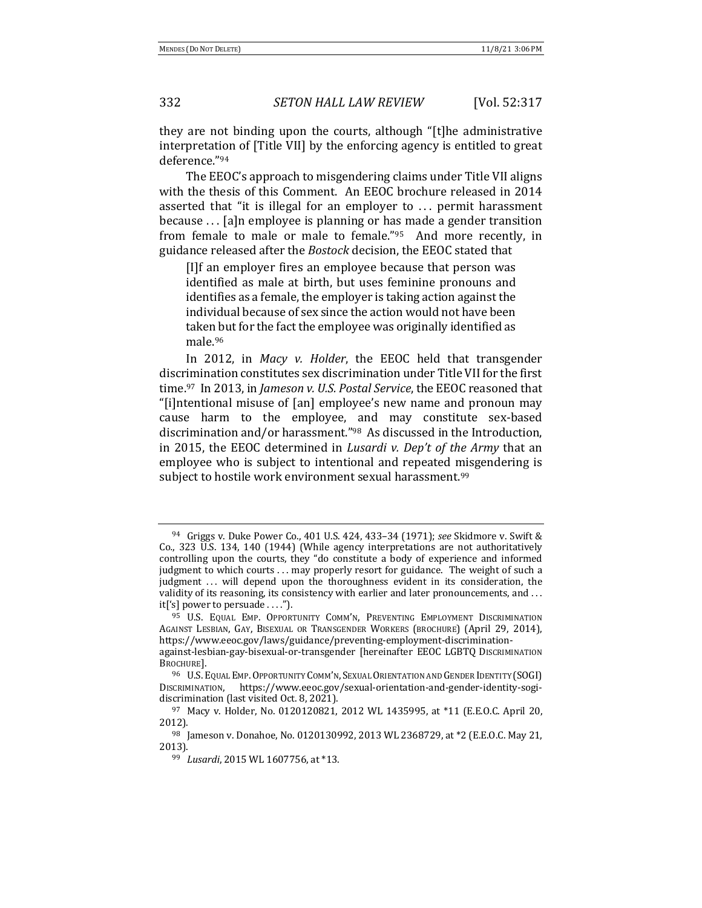they are not binding upon the courts, although "[t]he administrative interpretation of [Title VII] by the enforcing agency is entitled to great deference."94

The EEOC's approach to misgendering claims under Title VII aligns with the thesis of this Comment. An EEOC brochure released in 2014 asserted that "it is illegal for an employer to  $\ldots$  permit harassment because  $\ldots$  [a]n employee is planning or has made a gender transition from female to male or male to female." $95$  And more recently, in guidance released after the *Bostock* decision, the EEOC stated that

[I]f an employer fires an employee because that person was identified as male at birth, but uses feminine pronouns and identifies as a female, the employer is taking action against the individual because of sex since the action would not have been taken but for the fact the employee was originally identified as male.96

In 2012, in *Macy v. Holder*, the EEOC held that transgender discrimination constitutes sex discrimination under Title VII for the first time.<sup>97</sup> In 2013, in *Jameson v. U.S. Postal Service*, the EEOC reasoned that "[i]ntentional misuse of [an] employee's new name and pronoun may cause harm to the employee, and may constitute sex-based discrimination and/or harassment."<sup>98</sup> As discussed in the Introduction, in 2015, the EEOC determined in *Lusardi* v. Dep't of the Army that an employee who is subject to intentional and repeated misgendering is subject to hostile work environment sexual harassment.<sup>99</sup>

<sup>&</sup>lt;sup>94</sup> Griggs v. Duke Power Co., 401 U.S. 424, 433–34 (1971); *see* Skidmore v. Swift & Co., 323 U.S. 134, 140 (1944) (While agency interpretations are not authoritatively controlling upon the courts, they "do constitute a body of experience and informed judgment to which courts ... may properly resort for guidance. The weight of such a judgment ... will depend upon the thoroughness evident in its consideration, the validity of its reasoning, its consistency with earlier and later pronouncements, and  $\dots$  $it['s] power to per suade …".$ 

<sup>95</sup> U.S. EQUAL EMP. OPPORTUNITY COMM'N, PREVENTING EMPLOYMENT DISCRIMINATION AGAINST LESBIAN, GAY, BISEXUAL OR TRANSGENDER WORKERS (BROCHURE) (April 29, 2014), https://www.eeoc.gov/laws/guidance/preventing-employment-discriminationagainst-lesbian-gay-bisexual-or-transgender [hereinafter EEOC LGBTQ DISCRIMINATION

BROCHURE].

<sup>96</sup> U.S. EQUAL EMP. OPPORTUNITY COMM'N, SEXUAL ORIENTATION AND GENDER IDENTITY (SOGI) DISCRIMINATION, https://www.eeoc.gov/sexual-orientation-and-gender-identity-sogidiscrimination (last visited Oct. 8, 2021).

<sup>97</sup> Macy v. Holder, No. 0120120821, 2012 WL 1435995, at \*11 (E.E.O.C. April 20, 2012).

<sup>98</sup> Jameson v. Donahoe, No. 0120130992, 2013 WL 2368729, at \*2 (E.E.O.C. May 21, 2013).

<sup>99</sup> *Lusardi*, 2015 WL 1607756, at \*13.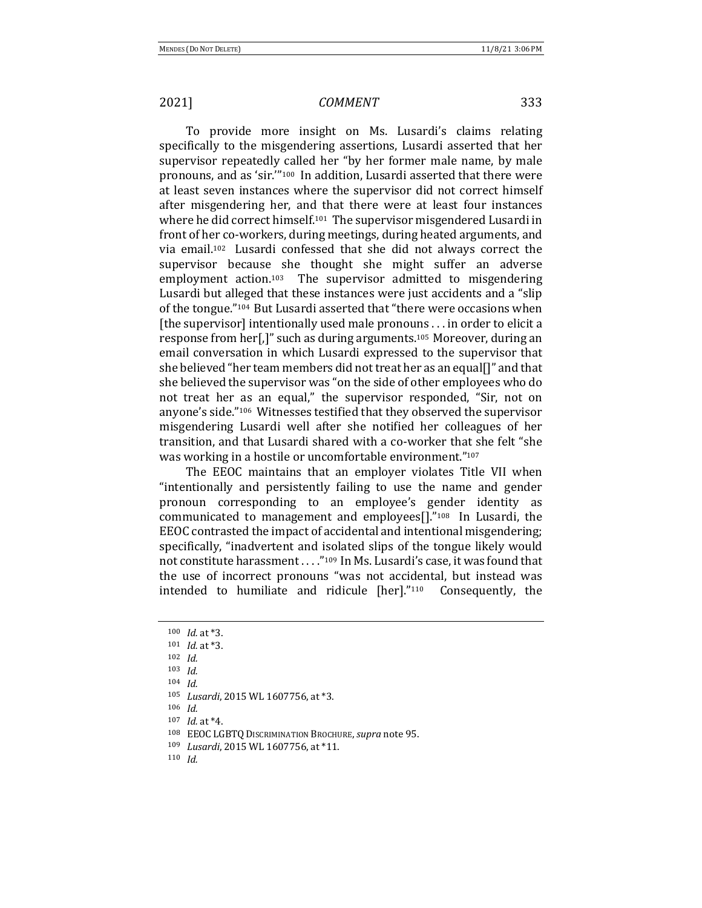To provide more insight on Ms. Lusardi's claims relating specifically to the misgendering assertions, Lusardi asserted that her supervisor repeatedly called her "by her former male name, by male pronouns, and as 'sir."<sup>100</sup> In addition, Lusardi asserted that there were at least seven instances where the supervisor did not correct himself after misgendering her, and that there were at least four instances where he did correct himself.<sup>101</sup> The supervisor misgendered Lusardi in front of her co-workers, during meetings, during heated arguments, and via email.<sup>102</sup> Lusardi confessed that she did not always correct the supervisor because she thought she might suffer an adverse employment action.<sup>103</sup> The supervisor admitted to misgendering Lusardi but alleged that these instances were just accidents and a "slip" of the tongue."<sup>104</sup> But Lusardi asserted that "there were occasions when [the supervisor] intentionally used male pronouns  $\dots$  in order to elicit a response from her[,]" such as during arguments.<sup>105</sup> Moreover, during an email conversation in which Lusardi expressed to the supervisor that she believed "her team members did not treat her as an equal[]" and that she believed the supervisor was "on the side of other employees who do not treat her as an equal," the supervisor responded, "Sir, not on anyone's side."<sup>106</sup> Witnesses testified that they observed the supervisor misgendering Lusardi well after she notified her colleagues of her transition, and that Lusardi shared with a co-worker that she felt "she was working in a hostile or uncomfortable environment."<sup>107</sup>

The EEOC maintains that an employer violates Title VII when "intentionally and persistently failing to use the name and gender pronoun corresponding to an employee's gender identity as communicated to management and employees $[]$ ."<sup>108</sup> In Lusardi, the EEOC contrasted the impact of accidental and intentional misgendering; specifically, "inadvertent and isolated slips of the tongue likely would not constitute harassment . . . . "109 In Ms. Lusardi's case, it was found that the use of incorrect pronouns "was not accidental, but instead was intended to humiliate and ridicule  $[her]$ ."<sup>110</sup> Consequently, the

<sup>100</sup> *Id.* at \*3.

 $101$  *Id.* at  $*3$ .

<sup>102</sup> *Id.*

<sup>103</sup> *Id.*

<sup>104</sup> *Id.*

<sup>105</sup> *Lusardi*, 2015 WL 1607756, at \*3.

<sup>106</sup> *Id.*

 $107$  *Id.* at  $*4$ .

<sup>108</sup> EEOC LGBTQ DISCRIMINATION BROCHURE, *supra* note 95.

<sup>109</sup> *Lusardi*, 2015 WL 1607756, at \*11.

<sup>110</sup> *Id.*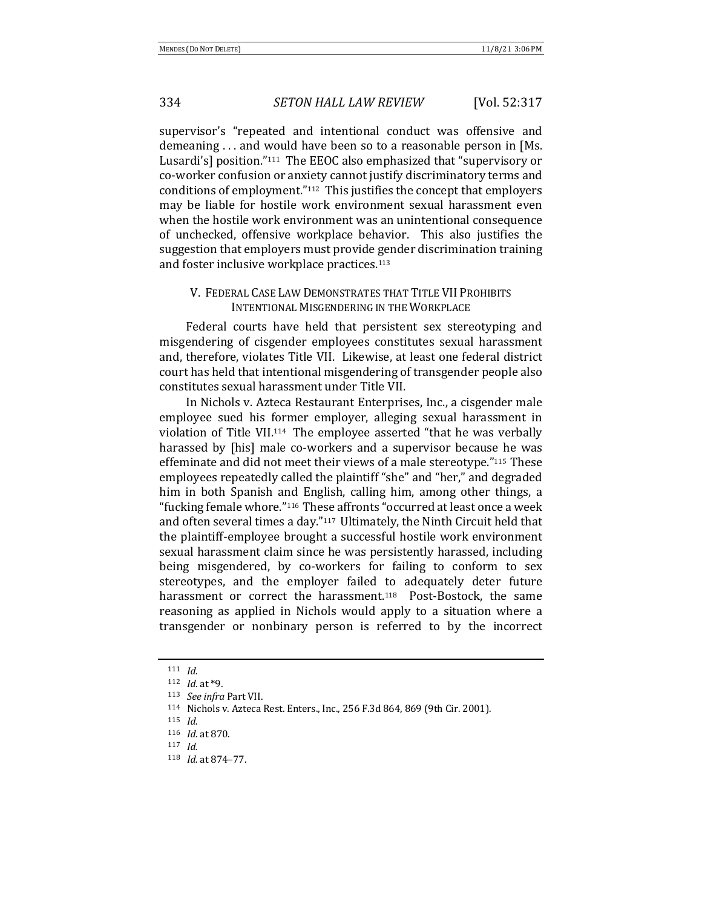supervisor's "repeated and intentional conduct was offensive and demeaning ... and would have been so to a reasonable person in [Ms. Lusardi's] position."<sup>111</sup> The EEOC also emphasized that "supervisory or co-worker confusion or anxiety cannot justify discriminatory terms and conditions of employment." $112$  This justifies the concept that employers may be liable for hostile work environment sexual harassment even when the hostile work environment was an unintentional consequence of unchecked, offensive workplace behavior. This also justifies the suggestion that employers must provide gender discrimination training and foster inclusive workplace practices.<sup>113</sup>

## V. FEDERAL CASE LAW DEMONSTRATES THAT TITLE VII PROHIBITS INTENTIONAL MISGENDERING IN THE WORKPLACE

Federal courts have held that persistent sex stereotyping and misgendering of cisgender employees constitutes sexual harassment and, therefore, violates Title VII. Likewise, at least one federal district court has held that intentional misgendering of transgender people also constitutes sexual harassment under Title VII. 

In Nichols v. Azteca Restaurant Enterprises, Inc., a cisgender male employee sued his former employer, alleging sexual harassment in violation of Title VII.<sup>114</sup> The employee asserted "that he was verbally harassed by [his] male co-workers and a supervisor because he was effeminate and did not meet their views of a male stereotype."<sup>115</sup> These employees repeatedly called the plaintiff "she" and "her," and degraded him in both Spanish and English, calling him, among other things, a "fucking female whore."<sup>116</sup> These affronts "occurred at least once a week and often several times a day."117 Ultimately, the Ninth Circuit held that the plaintiff-employee brought a successful hostile work environment sexual harassment claim since he was persistently harassed, including being misgendered, by co-workers for failing to conform to sex stereotypes, and the employer failed to adequately deter future harassment or correct the harassment.<sup>118</sup> Post-Bostock, the same reasoning as applied in Nichols would apply to a situation where a transgender or nonbinary person is referred to by the incorrect

118 *Id.* at 874-77.

<sup>111</sup> *Id.*

 $112$  *Id.* at \*9.

<sup>113</sup> *See infra Part VII.* 

<sup>114</sup> Nichols v. Azteca Rest. Enters., Inc., 256 F.3d 864, 869 (9th Cir. 2001).

<sup>115</sup> *Id.* 116 *Id.* at 870.

<sup>117</sup> *Id.*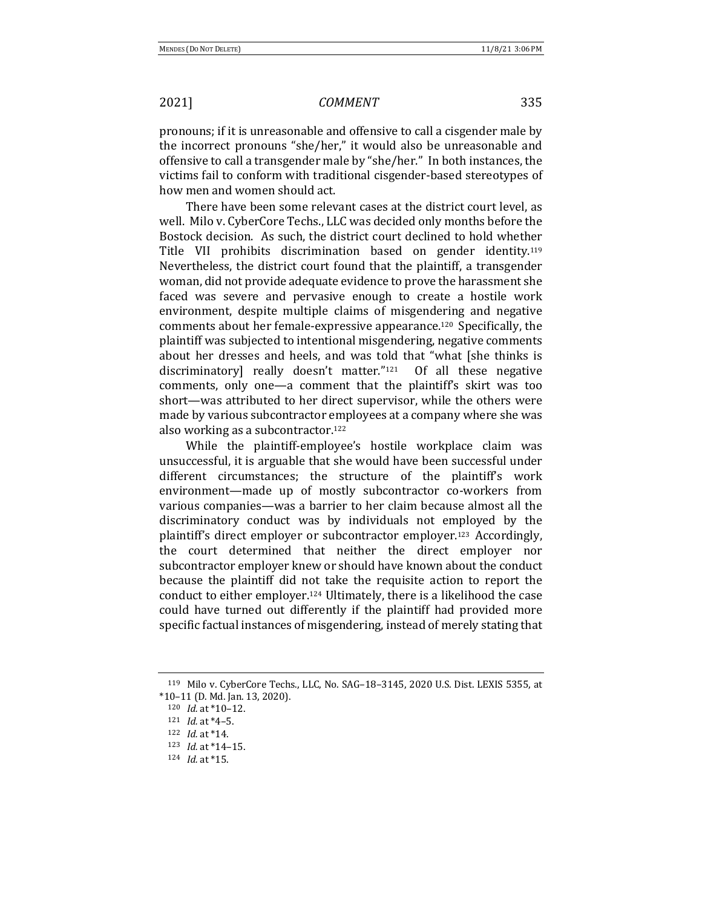pronouns; if it is unreasonable and offensive to call a cisgender male by the incorrect pronouns "she/her," it would also be unreasonable and offensive to call a transgender male by "she/her." In both instances, the victims fail to conform with traditional cisgender-based stereotypes of how men and women should act.

There have been some relevant cases at the district court level, as well. Milo v. CyberCore Techs., LLC was decided only months before the Bostock decision. As such, the district court declined to hold whether Title VII prohibits discrimination based on gender identity.<sup>119</sup> Nevertheless, the district court found that the plaintiff, a transgender woman, did not provide adequate evidence to prove the harassment she faced was severe and pervasive enough to create a hostile work environment, despite multiple claims of misgendering and negative comments about her female-expressive appearance.<sup>120</sup> Specifically, the plaintiff was subjected to intentional misgendering, negative comments about her dresses and heels, and was told that "what [she thinks is discriminatory] really doesn't matter."<sup>121</sup> Of all these negative comments, only one—a comment that the plaintiff's skirt was too short—was attributed to her direct supervisor, while the others were made by various subcontractor employees at a company where she was also working as a subcontractor.<sup>122</sup>

While the plaintiff-employee's hostile workplace claim was unsuccessful, it is arguable that she would have been successful under different circumstances; the structure of the plaintiff's work environment—made up of mostly subcontractor co-workers from various companies—was a barrier to her claim because almost all the discriminatory conduct was by individuals not employed by the plaintiff's direct employer or subcontractor employer.<sup>123</sup> Accordingly, the court determined that neither the direct employer nor subcontractor employer knew or should have known about the conduct because the plaintiff did not take the requisite action to report the conduct to either employer.<sup>124</sup> Ultimately, there is a likelihood the case could have turned out differently if the plaintiff had provided more specific factual instances of misgendering, instead of merely stating that

 $119$  Milo v. CyberCore Techs., LLC, No. SAG-18-3145, 2020 U.S. Dist. LEXIS 5355, at  $*10-11$  (D. Md. Jan. 13, 2020).

<sup>120</sup> *Id.* at \*10-12.

 $121$  *Id.* at  $*4-5$ .

<sup>122</sup> *Id.* at \*14.

<sup>123</sup> *Id.* at \*14-15.

<sup>124</sup> *Id.* at \*15.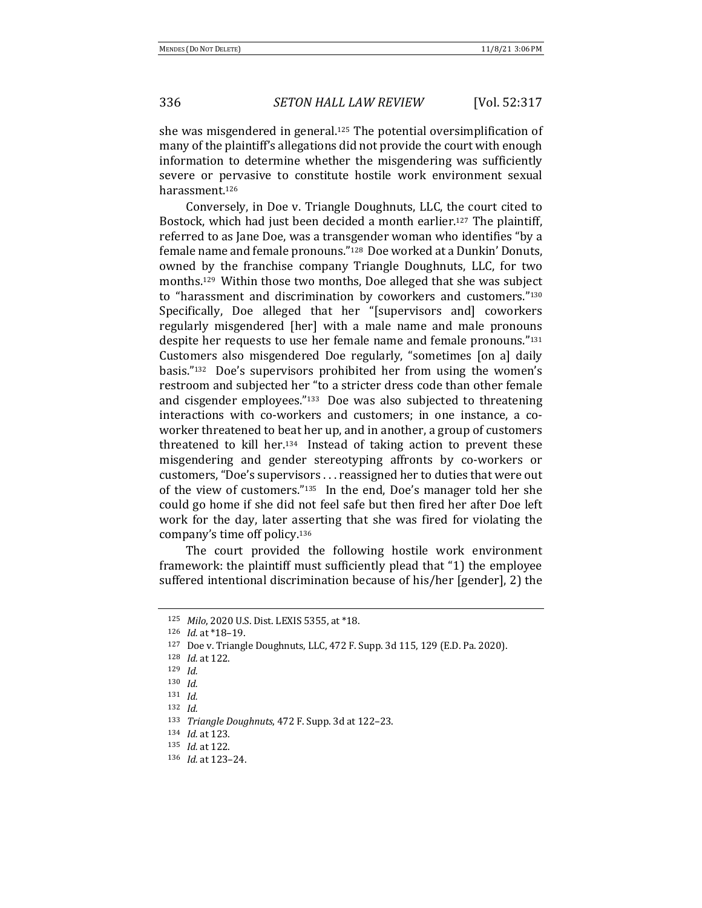she was misgendered in general.<sup>125</sup> The potential oversimplification of many of the plaintiff's allegations did not provide the court with enough information to determine whether the misgendering was sufficiently severe or pervasive to constitute hostile work environment sexual harassment.126

Conversely, in Doe v. Triangle Doughnuts, LLC, the court cited to Bostock, which had just been decided a month earlier.<sup>127</sup> The plaintiff, referred to as Jane Doe, was a transgender woman who identifies "by a female name and female pronouns."<sup>128</sup> Doe worked at a Dunkin' Donuts, owned by the franchise company Triangle Doughnuts, LLC, for two months.<sup>129</sup> Within those two months, Doe alleged that she was subject to "harassment and discrimination by coworkers and customers."<sup>130</sup> Specifically, Doe alleged that her "[supervisors and] coworkers regularly misgendered [her] with a male name and male pronouns despite her requests to use her female name and female pronouns."131 Customers also misgendered Doe regularly, "sometimes [on a] daily basis." $132$  Doe's supervisors prohibited her from using the women's restroom and subjected her "to a stricter dress code than other female and cisgender employees." $133$  Doe was also subjected to threatening interactions with co-workers and customers; in one instance, a coworker threatened to beat her up, and in another, a group of customers threatened to kill her.<sup>134</sup> Instead of taking action to prevent these misgendering and gender stereotyping affronts by co-workers or customers, "Doe's supervisors ... reassigned her to duties that were out of the view of customers." $135$  In the end, Doe's manager told her she could go home if she did not feel safe but then fired her after Doe left work for the day, later asserting that she was fired for violating the company's time off policy.<sup>136</sup>

The court provided the following hostile work environment framework: the plaintiff must sufficiently plead that "1) the employee suffered intentional discrimination because of his/her [gender], 2) the

<sup>125</sup> *Milo*, 2020 U.S. Dist. LEXIS 5355, at \*18.

<sup>126</sup> *Id.* at \*18-19.

 $127$  Doe v. Triangle Doughnuts, LLC, 472 F. Supp. 3d 115, 129 (E.D. Pa. 2020).

<sup>128</sup> *Id.* at 122.

<sup>129</sup> *Id.*

<sup>130</sup> *Id.*

<sup>131</sup> *Id.*

<sup>132</sup> *Id.*

<sup>&</sup>lt;sup>133</sup> *Triangle Doughnuts*, 472 F. Supp. 3d at 122–23.

<sup>134</sup> *Id.* at 123.

<sup>135</sup> *Id.* at 122.

<sup>136</sup> *Id.* at 123–24.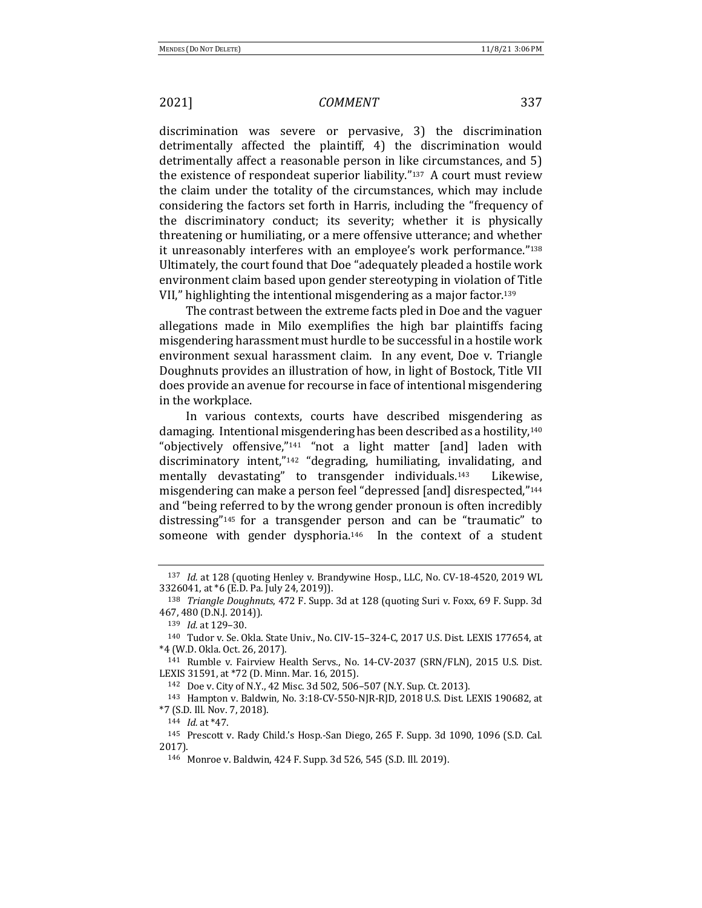discrimination was severe or pervasive, 3) the discrimination detrimentally affected the plaintiff, 4) the discrimination would detrimentally affect a reasonable person in like circumstances, and 5) the existence of respondeat superior liability."<sup>137</sup> A court must review the claim under the totality of the circumstances, which may include considering the factors set forth in Harris, including the "frequency of the discriminatory conduct; its severity; whether it is physically threatening or humiliating, or a mere offensive utterance; and whether it unreasonably interferes with an employee's work performance."<sup>138</sup> Ultimately, the court found that Doe "adequately pleaded a hostile work environment claim based upon gender stereotyping in violation of Title VII," highlighting the intentional misgendering as a major factor.<sup>139</sup>

The contrast between the extreme facts pled in Doe and the vaguer allegations made in Milo exemplifies the high bar plaintiffs facing misgendering harassment must hurdle to be successful in a hostile work environment sexual harassment claim. In any event, Doe v. Triangle Doughnuts provides an illustration of how, in light of Bostock, Title VII does provide an avenue for recourse in face of intentional misgendering in the workplace.

In various contexts, courts have described misgendering as damaging. Intentional misgendering has been described as a hostility, $140$ "objectively offensive,"<sup>141</sup> "not a light matter [and] laden with discriminatory intent," $142$  "degrading, humiliating, invalidating, and mentally devastating" to transgender individuals.<sup>143</sup> Likewise, misgendering can make a person feel "depressed [and] disrespected,"<sup>144</sup> and "being referred to by the wrong gender pronoun is often incredibly distressing"<sup>145</sup> for a transgender person and can be "traumatic" to someone with gender dysphoria.<sup>146</sup> In the context of a student

142 Doe v. City of N.Y., 42 Misc. 3d 502, 506-507 (N.Y. Sup. Ct. 2013).

<sup>143</sup> Hampton v. Baldwin, No. 3:18-CV-550-NJR-RJD, 2018 U.S. Dist. LEXIS 190682, at \*7 (S.D. Ill. Nov. 7, 2018).

<sup>&</sup>lt;sup>137</sup> *Id.* at 128 (quoting Henley v. Brandywine Hosp., LLC, No. CV-18-4520, 2019 WL 3326041, at \*6 (E.D. Pa. July 24, 2019)).

<sup>&</sup>lt;sup>138</sup> *Triangle Doughnuts*, 472 F. Supp. 3d at 128 (quoting Suri v. Foxx, 69 F. Supp. 3d 467, 480 (D.N.J. 2014)).

<sup>139</sup> *Id.* at 129-30.

<sup>140</sup> Tudor v. Se. Okla. State Univ., No. CIV-15-324-C, 2017 U.S. Dist. LEXIS 177654, at \*4 (W.D. Okla. Oct. 26, 2017).

<sup>&</sup>lt;sup>141</sup> Rumble v. Fairview Health Servs., No. 14-CV-2037 (SRN/FLN), 2015 U.S. Dist. LEXIS 31591, at \*72 (D. Minn. Mar. 16, 2015).

<sup>144</sup> *Id.* at \*47.

<sup>&</sup>lt;sup>145</sup> Prescott v. Rady Child.'s Hosp.-San Diego, 265 F. Supp. 3d 1090, 1096 (S.D. Cal. 2017).

<sup>146</sup> Monroe v. Baldwin, 424 F. Supp. 3d 526, 545 (S.D. Ill. 2019).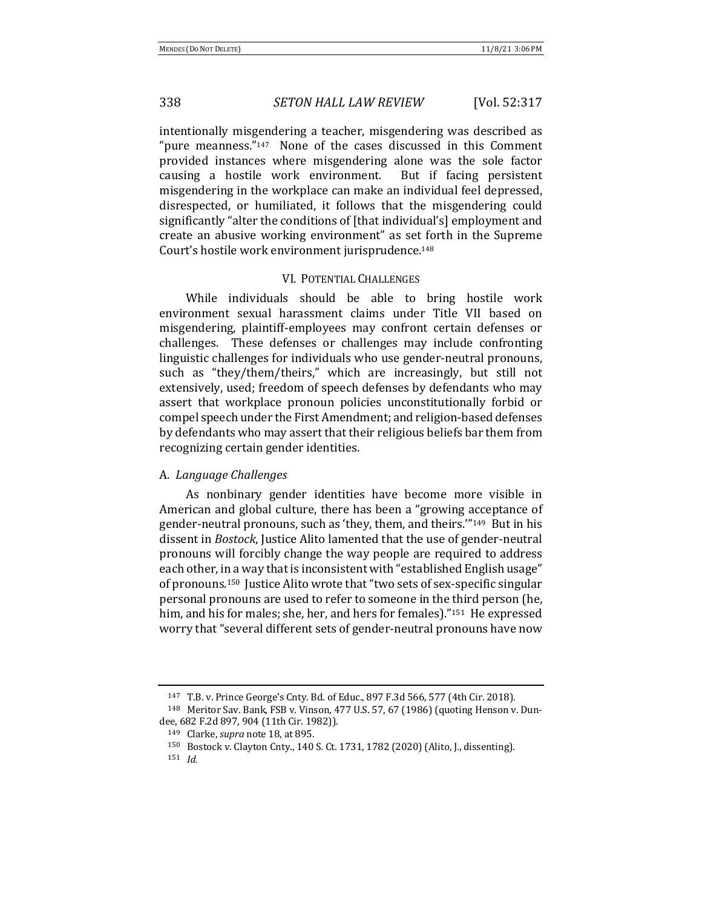intentionally misgendering a teacher, misgendering was described as "pure meanness." $147$  None of the cases discussed in this Comment provided instances where misgendering alone was the sole factor causing a hostile work environment. But if facing persistent misgendering in the workplace can make an individual feel depressed, disrespected, or humiliated, it follows that the misgendering could significantly "alter the conditions of [that individual's] employment and create an abusive working environment" as set forth in the Supreme Court's hostile work environment jurisprudence.<sup>148</sup>

## VI. POTENTIAL CHALLENGES

While individuals should be able to bring hostile work environment sexual harassment claims under Title VII based on misgendering, plaintiff-employees may confront certain defenses or challenges. These defenses or challenges may include confronting linguistic challenges for individuals who use gender-neutral pronouns, such as "they/them/theirs," which are increasingly, but still not extensively, used; freedom of speech defenses by defendants who may assert that workplace pronoun policies unconstitutionally forbid or compel speech under the First Amendment; and religion-based defenses by defendants who may assert that their religious beliefs bar them from recognizing certain gender identities.

## A. *Language Challenges*

As nonbinary gender identities have become more visible in American and global culture, there has been a "growing acceptance of gender-neutral pronouns, such as 'they, them, and theirs."<sup>149</sup> But in his dissent in *Bostock*, Justice Alito lamented that the use of gender-neutral pronouns will forcibly change the way people are required to address each other, in a way that is inconsistent with "established English usage" of pronouns.<sup>150</sup> Justice Alito wrote that "two sets of sex-specific singular personal pronouns are used to refer to someone in the third person (he, him, and his for males; she, her, and hers for females)."<sup>151</sup> He expressed worry that "several different sets of gender-neutral pronouns have now

<sup>147</sup> T.B. v. Prince George's Cnty. Bd. of Educ., 897 F.3d 566, 577 (4th Cir. 2018).

<sup>&</sup>lt;sup>148</sup> Meritor Sav. Bank, FSB v. Vinson, 477 U.S. 57, 67 (1986) (quoting Henson v. Dundee, 682 F.2d 897, 904 (11th Cir. 1982)).

<sup>149</sup> Clarke, *supra* note 18, at 895.

<sup>150</sup> Bostock v. Clayton Cnty., 140 S. Ct. 1731, 1782 (2020) (Alito, J., dissenting).

<sup>151</sup> *Id.*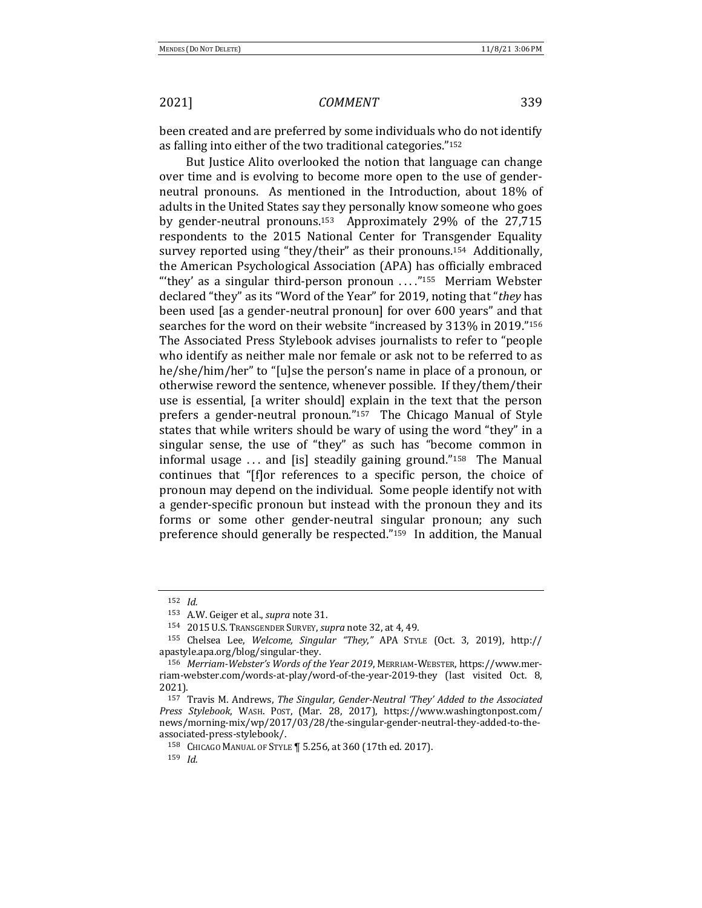been created and are preferred by some individuals who do not identify as falling into either of the two traditional categories."<sup>152</sup>

But Justice Alito overlooked the notion that language can change over time and is evolving to become more open to the use of genderneutral pronouns. As mentioned in the Introduction, about 18% of adults in the United States say they personally know someone who goes by gender-neutral pronouns.<sup>153</sup> Approximately 29% of the 27,715 respondents to the 2015 National Center for Transgender Equality survey reported using "they/their" as their pronouns.<sup>154</sup> Additionally, the American Psychological Association (APA) has officially embraced "they' as a singular third-person pronoun  $\ldots$ "<sup>155</sup> Merriam Webster declared "they" as its "Word of the Year" for 2019, noting that "they has been used [as a gender-neutral pronoun] for over 600 years" and that searches for the word on their website "increased by 313% in 2019."156 The Associated Press Stylebook advises journalists to refer to "people who identify as neither male nor female or ask not to be referred to as he/she/him/her" to "[u]se the person's name in place of a pronoun, or otherwise reword the sentence, whenever possible. If they/them/their use is essential, [a writer should] explain in the text that the person prefers a gender-neutral pronoun."157 The Chicago Manual of Style states that while writers should be wary of using the word "they" in a singular sense, the use of "they" as such has "become common in informal usage  $\ldots$  and [is] steadily gaining ground."<sup>158</sup> The Manual continues that "[f]or references to a specific person, the choice of pronoun may depend on the individual. Some people identify not with a gender-specific pronoun but instead with the pronoun they and its forms or some other gender-neutral singular pronoun; any such preference should generally be respected." $159$  In addition, the Manual

<sup>152</sup> *Id.*

<sup>153</sup> A.W. Geiger et al., *supra* note 31.

<sup>154 2015</sup> U.S. TRANSGENDER SURVEY, *supra* note 32, at 4, 49.

<sup>155</sup> Chelsea Lee, Welcome, Singular "They," APA STYLE (Oct. 3, 2019), http:// apastyle.apa.org/blog/singular-they.

<sup>156</sup> Merriam-Webster's Words of the Year 2019, MERRIAM-WEBSTER, https://www.merriam-webster.com/words-at-play/word-of-the-year-2019-they (last visited Oct. 8, 2021).

<sup>&</sup>lt;sup>157</sup> Travis M. Andrews, *The Singular, Gender-Neutral 'They' Added to the Associated Press Stylebook*, WASH. POST, (Mar. 28, 2017), https://www.washingtonpost.com/ news/morning-mix/wp/2017/03/28/the-singular-gender-neutral-they-added-to-theassociated-press-stylebook/.

<sup>158</sup> CHICAGO MANUAL OF STYLE | 5.256, at 360 (17th ed. 2017).

<sup>159</sup> *Id.*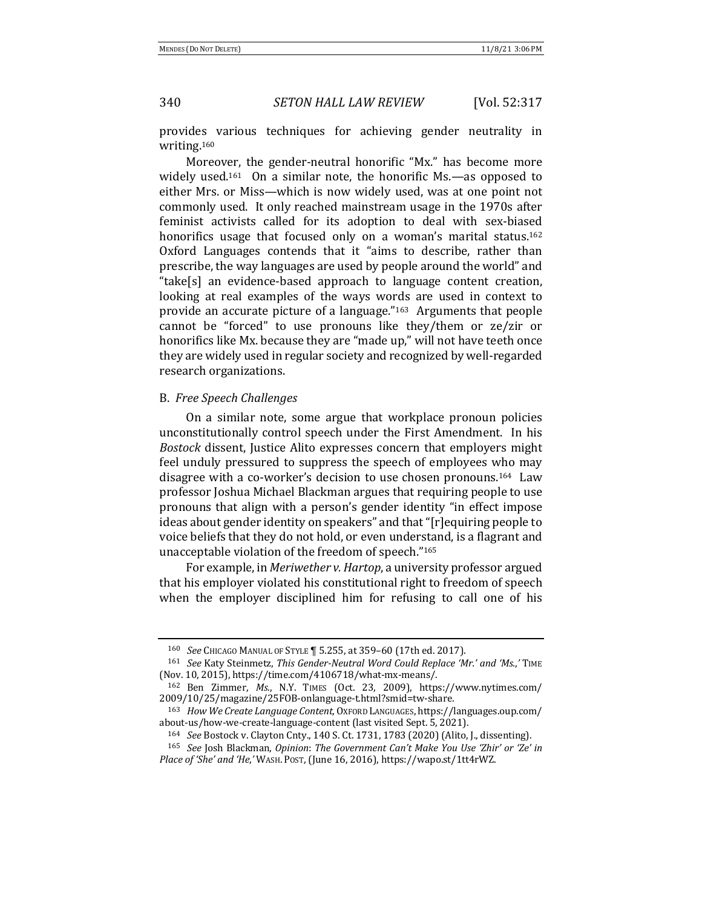provides various techniques for achieving gender neutrality in writing.160

Moreover, the gender-neutral honorific "Mx." has become more widely used.<sup>161</sup> On a similar note, the honorific Ms.—as opposed to either Mrs. or Miss—which is now widely used, was at one point not commonly used. It only reached mainstream usage in the 1970s after feminist activists called for its adoption to deal with sex-biased honorifics usage that focused only on a woman's marital status.<sup>162</sup> Oxford Languages contends that it "aims to describe, rather than prescribe, the way languages are used by people around the world" and "take[s] an evidence-based approach to language content creation, looking at real examples of the ways words are used in context to provide an accurate picture of a language." $163$  Arguments that people cannot be "forced" to use pronouns like they/them or  $ze/zir$  or honorifics like Mx. because they are "made up," will not have teeth once they are widely used in regular society and recognized by well-regarded research organizations.

## B. *Free Speech Challenges*

On a similar note, some argue that workplace pronoun policies unconstitutionally control speech under the First Amendment. In his *Bostock* dissent, Justice Alito expresses concern that employers might feel unduly pressured to suppress the speech of employees who may disagree with a co-worker's decision to use chosen pronouns.<sup>164</sup> Law professor Joshua Michael Blackman argues that requiring people to use pronouns that align with a person's gender identity "in effect impose ideas about gender identity on speakers" and that "[r]equiring people to voice beliefs that they do not hold, or even understand, is a flagrant and unacceptable violation of the freedom of speech."165

For example, in *Meriwether v. Hartop*, a university professor argued that his employer violated his constitutional right to freedom of speech when the employer disciplined him for refusing to call one of his

<sup>160</sup> *See* CHICAGO MANUAL OF STYLE | 5.255, at 359-60 (17th ed. 2017).

<sup>161</sup> *See* Katy Steinmetz, *This Gender-Neutral Word Could Replace 'Mr.' and 'Ms.*,' TIME (Nov. 10, 2015), https://time.com/4106718/what-mx-means/.

<sup>162</sup> Ben Zimmer, *Ms.*, N.Y. TIMES (Oct. 23, 2009), https://www.nytimes.com/ 2009/10/25/magazine/25FOB-onlanguage-t.html?smid=tw-share.

<sup>163</sup> *How We Create Language Content*, OXFORD LANGUAGES, https://languages.oup.com/ about-us/how-we-create-language-content (last visited Sept. 5, 2021).

<sup>&</sup>lt;sup>164</sup> *See* Bostock v. Clayton Cnty., 140 S. Ct. 1731, 1783 (2020) (Alito, J., dissenting).

<sup>165</sup> *See* Josh Blackman, *Opinion: The Government Can't Make You Use 'Zhir' or 'Ze' in Place of 'She' and 'He,'* WASH. Post, (June 16, 2016), https://wapo.st/1tt4rWZ.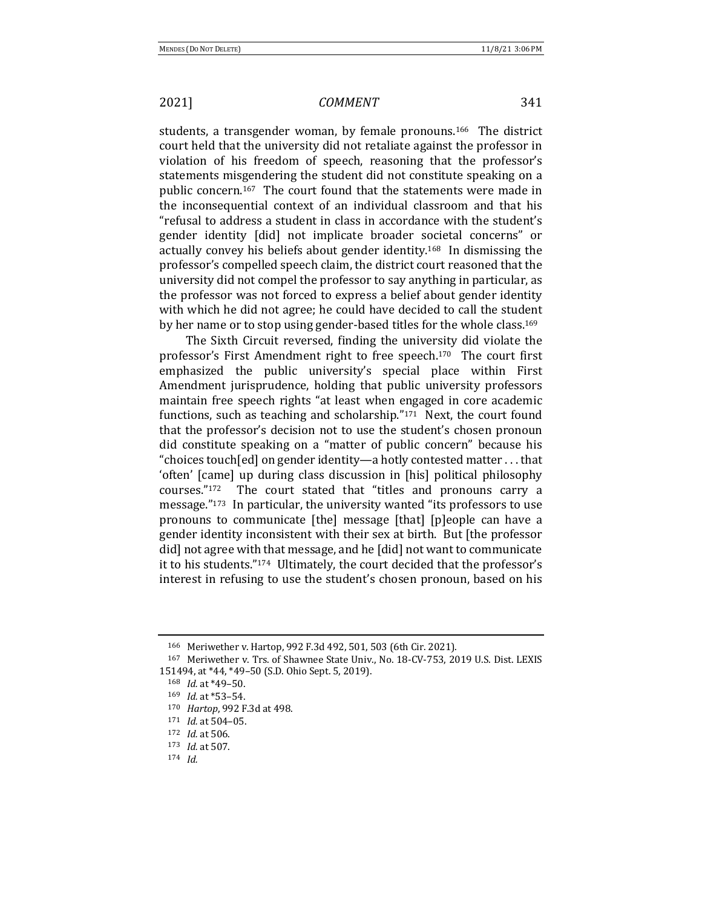students, a transgender woman, by female pronouns.<sup>166</sup> The district court held that the university did not retaliate against the professor in violation of his freedom of speech, reasoning that the professor's statements misgendering the student did not constitute speaking on a public concern.<sup>167</sup> The court found that the statements were made in the inconsequential context of an individual classroom and that his "refusal to address a student in class in accordance with the student's gender identity [did] not implicate broader societal concerns" or actually convey his beliefs about gender identity.<sup>168</sup> In dismissing the professor's compelled speech claim, the district court reasoned that the university did not compel the professor to say anything in particular, as the professor was not forced to express a belief about gender identity with which he did not agree; he could have decided to call the student by her name or to stop using gender-based titles for the whole class.<sup>169</sup>

The Sixth Circuit reversed, finding the university did violate the professor's First Amendment right to free speech.<sup>170</sup> The court first emphasized the public university's special place within First Amendment jurisprudence, holding that public university professors maintain free speech rights "at least when engaged in core academic functions, such as teaching and scholarship." $171$  Next, the court found that the professor's decision not to use the student's chosen pronoun did constitute speaking on a "matter of public concern" because his "choices touch [ed] on gender identity—a hotly contested matter  $\dots$  that 'often' [came] up during class discussion in [his] political philosophy courses."<sup>172</sup> The court stated that "titles and pronouns carry a message."<sup>173</sup> In particular, the university wanted "its professors to use pronouns to communicate [the] message [that] [p]eople can have a gender identity inconsistent with their sex at birth. But [the professor did] not agree with that message, and he [did] not want to communicate it to his students."<sup>174</sup> Ultimately, the court decided that the professor's interest in refusing to use the student's chosen pronoun, based on his

<sup>166</sup> Meriwether v. Hartop, 992 F.3d 492, 501, 503 (6th Cir. 2021).

<sup>&</sup>lt;sup>167</sup> Meriwether v. Trs. of Shawnee State Univ., No. 18-CV-753, 2019 U.S. Dist. LEXIS 151494, at \*44, \*49-50 (S.D. Ohio Sept. 5, 2019).

 $168$  *Id.* at \*49-50.

<sup>169</sup> *Id.* at \*53-54.

<sup>170</sup> *Hartop*, 992 F.3d at 498.

 $171$  *Id.* at 504-05.

<sup>172</sup> *Id.* at 506.

<sup>173</sup> *Id.* at 507.

<sup>174</sup> *Id.*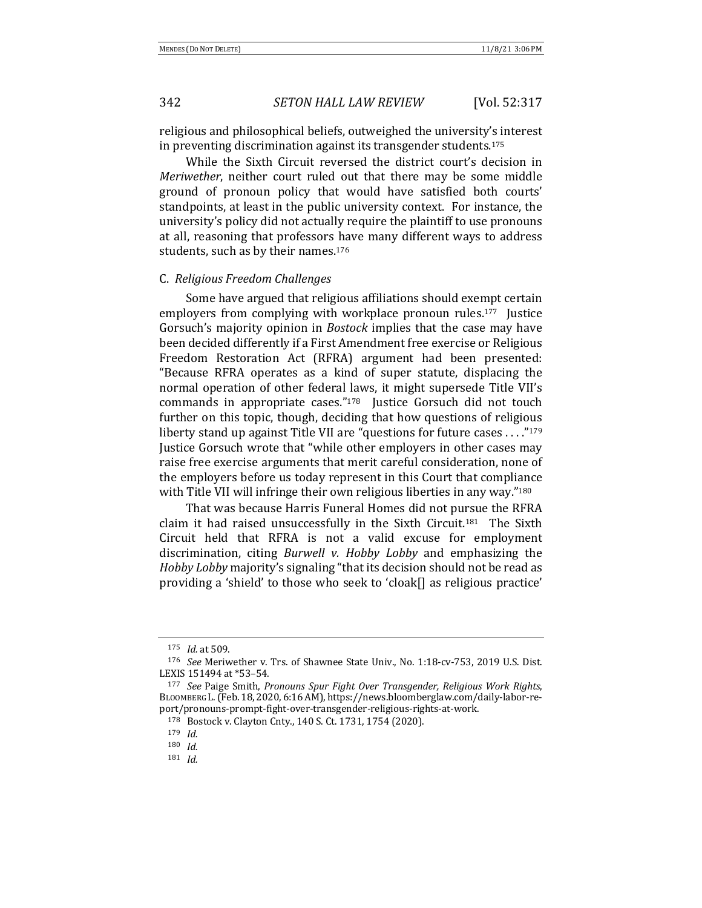religious and philosophical beliefs, outweighed the university's interest in preventing discrimination against its transgender students.<sup>175</sup>

While the Sixth Circuit reversed the district court's decision in *Meriwether*, neither court ruled out that there may be some middle ground of pronoun policy that would have satisfied both courts' standpoints, at least in the public university context. For instance, the university's policy did not actually require the plaintiff to use pronouns at all, reasoning that professors have many different ways to address students, such as by their names.<sup>176</sup>

## C. *Religious Freedom Challenges*

Some have argued that religious affiliations should exempt certain employers from complying with workplace pronoun rules.<sup>177</sup> Justice Gorsuch's majority opinion in *Bostock* implies that the case may have been decided differently if a First Amendment free exercise or Religious Freedom Restoration Act (RFRA) argument had been presented: "Because RFRA operates as a kind of super statute, displacing the normal operation of other federal laws, it might supersede Title VII's commands in appropriate cases."<sup>178</sup> Justice Gorsuch did not touch further on this topic, though, deciding that how questions of religious liberty stand up against Title VII are "questions for future cases ...."<sup>179</sup> Justice Gorsuch wrote that "while other employers in other cases may raise free exercise arguments that merit careful consideration, none of the employers before us today represent in this Court that compliance with Title VII will infringe their own religious liberties in any way."<sup>180</sup>

That was because Harris Funeral Homes did not pursue the RFRA claim it had raised unsuccessfully in the Sixth Circuit.<sup>181</sup> The Sixth Circuit held that RFRA is not a valid excuse for employment discrimination, citing *Burwell v. Hobby Lobby* and emphasizing the *Hobby Lobby* majority's signaling "that its decision should not be read as providing a 'shield' to those who seek to 'cloak[] as religious practice'

<sup>175</sup> *Id.* at 509.

<sup>&</sup>lt;sup>176</sup> *See* Meriwether v. Trs. of Shawnee State Univ., No. 1:18-cv-753, 2019 U.S. Dist. LEXIS 151494 at \*53-54.

<sup>177</sup> See Paige Smith, Pronouns Spur Fight Over Transgender, Religious Work Rights, BLOOMBERG L. (Feb. 18, 2020, 6:16 AM), https://news.bloomberglaw.com/daily-labor-report/pronouns-prompt-fight-over-transgender-religious-rights-at-work.

<sup>178</sup> Bostock v. Clayton Cnty., 140 S. Ct. 1731, 1754 (2020).

<sup>179</sup> *Id.*

<sup>180</sup> *Id.*

<sup>181</sup> *Id.*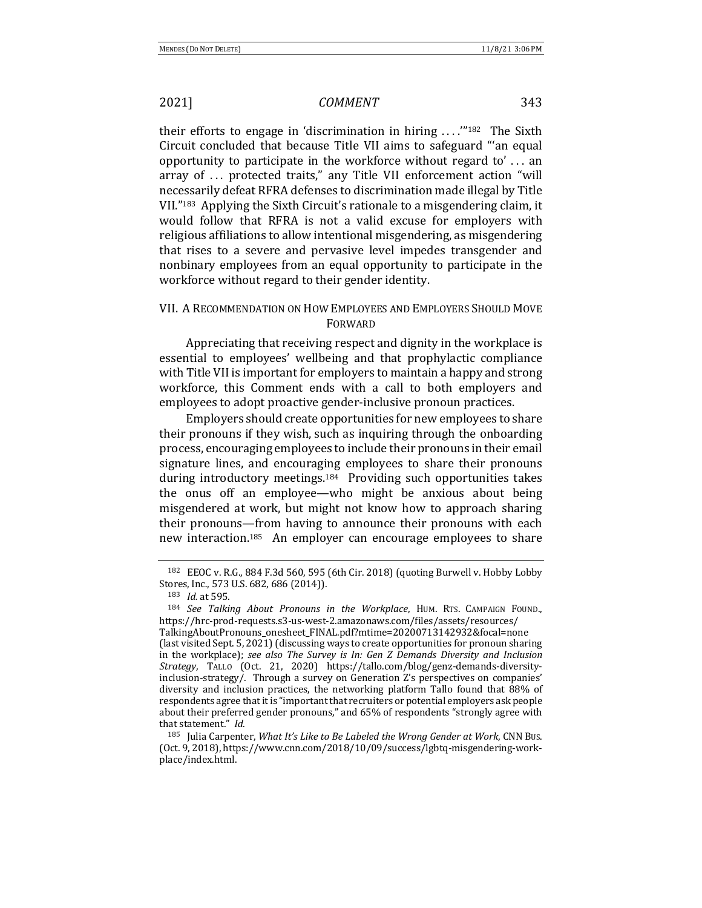their efforts to engage in 'discrimination in hiring  $\ldots$ ."<sup>182</sup> The Sixth Circuit concluded that because Title VII aims to safeguard "'an equal opportunity to participate in the workforce without regard to'... an array of ... protected traits," any Title VII enforcement action "will necessarily defeat RFRA defenses to discrimination made illegal by Title VII."<sup>183</sup> Applying the Sixth Circuit's rationale to a misgendering claim, it would follow that RFRA is not a valid excuse for employers with religious affiliations to allow intentional misgendering, as misgendering that rises to a severe and pervasive level impedes transgender and nonbinary employees from an equal opportunity to participate in the workforce without regard to their gender identity.

# VII. A RECOMMENDATION ON HOW EMPLOYEES AND EMPLOYERS SHOULD MOVE FORWARD

Appreciating that receiving respect and dignity in the workplace is essential to employees' wellbeing and that prophylactic compliance with Title VII is important for employers to maintain a happy and strong workforce, this Comment ends with a call to both employers and employees to adopt proactive gender-inclusive pronoun practices.

Employers should create opportunities for new employees to share their pronouns if they wish, such as inquiring through the onboarding process, encouraging employees to include their pronouns in their email signature lines, and encouraging employees to share their pronouns during introductory meetings.<sup>184</sup> Providing such opportunities takes the onus off an employee—who might be anxious about being misgendered at work, but might not know how to approach sharing their pronouns—from having to announce their pronouns with each new interaction.<sup>185</sup> An employer can encourage employees to share

<sup>&</sup>lt;sup>182</sup> EEOC v. R.G., 884 F.3d 560, 595 (6th Cir. 2018) (quoting Burwell v. Hobby Lobby Stores, Inc., 573 U.S. 682, 686 (2014)).

<sup>183</sup> *Id.* at 595.

<sup>184</sup> *See Talking About Pronouns in the Workplace*, HUM. RTS. CAMPAIGN FOUND., https://hrc-prod-requests.s3-us-west-2.amazonaws.com/files/assets/resources/

TalkingAboutPronouns\_onesheet\_FINAL.pdf?mtime=20200713142932&focal=none (last visited Sept. 5, 2021) (discussing ways to create opportunities for pronoun sharing in the workplace); see also The Survey is In: Gen Z Demands Diversity and Inclusion *Strategy*, TALLO (Oct. 21, 2020) https://tallo.com/blog/genz-demands-diversityinclusion-strategy/. Through a survey on Generation Z's perspectives on companies' diversity and inclusion practices, the networking platform Tallo found that 88% of respondents agree that it is "important that recruiters or potential employers ask people about their preferred gender pronouns," and 65% of respondents "strongly agree with that statement." *Id.* 

<sup>185</sup> Julia Carpenter, *What It's Like to Be Labeled the Wrong Gender at Work*, CNN Bus. (Oct. 9, 2018), https://www.cnn.com/2018/10/09/success/lgbtq-misgendering-workplace/index.html.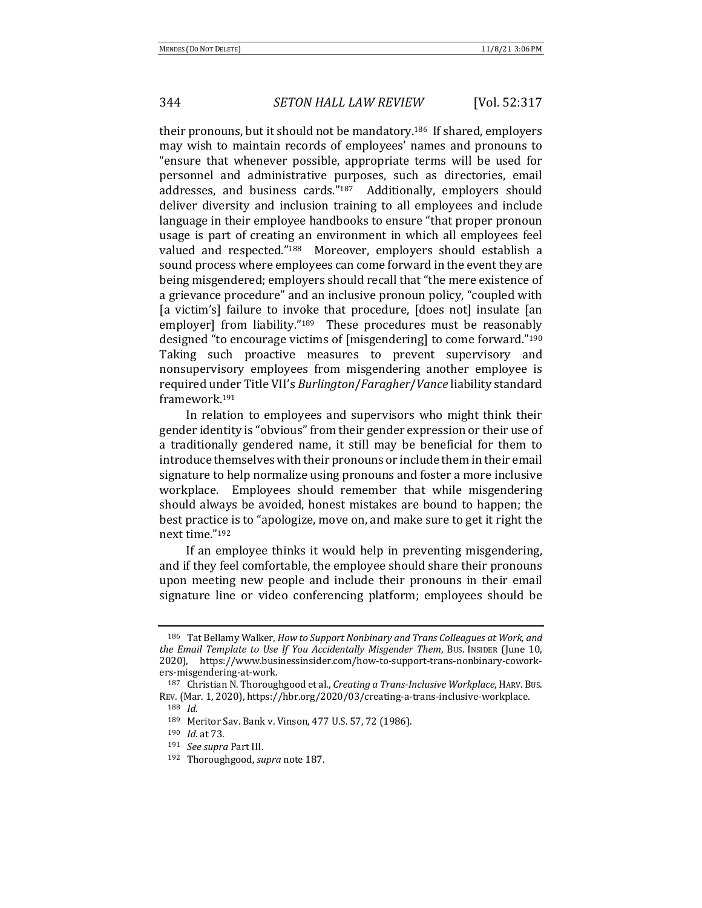their pronouns, but it should not be mandatory.<sup>186</sup> If shared, employers may wish to maintain records of employees' names and pronouns to "ensure that whenever possible, appropriate terms will be used for personnel and administrative purposes, such as directories, email addresses, and business cards."<sup>187</sup> Additionally, employers should deliver diversity and inclusion training to all employees and include language in their employee handbooks to ensure "that proper pronoun usage is part of creating an environment in which all employees feel valued and respected."<sup>188</sup> Moreover, employers should establish a sound process where employees can come forward in the event they are being misgendered; employers should recall that "the mere existence of a grievance procedure" and an inclusive pronoun policy, "coupled with [a victim's] failure to invoke that procedure, [does not] insulate [an employer] from liability."<sup>189</sup> These procedures must be reasonably designed "to encourage victims of [misgendering] to come forward."<sup>190</sup> Taking such proactive measures to prevent supervisory and nonsupervisory employees from misgendering another employee is required under Title VII's *Burlington*/*Faragher*/*Vance* liability standard framework.191

In relation to employees and supervisors who might think their gender identity is "obvious" from their gender expression or their use of a traditionally gendered name, it still may be beneficial for them to introduce themselves with their pronouns or include them in their email signature to help normalize using pronouns and foster a more inclusive workplace. Employees should remember that while misgendering should always be avoided, honest mistakes are bound to happen; the best practice is to "apologize, move on, and make sure to get it right the next time."192

If an employee thinks it would help in preventing misgendering, and if they feel comfortable, the employee should share their pronouns upon meeting new people and include their pronouns in their email signature line or video conferencing platform; employees should be

<sup>&</sup>lt;sup>186</sup> Tat Bellamy Walker, *How to Support Nonbinary and Trans Colleagues at Work, and the Email Template to Use If You Accidentally Misgender Them*, Bus. Insidera (June 10, 2020), https://www.businessinsider.com/how-to-support-trans-nonbinary-coworkers-misgendering-at-work.

<sup>187</sup> Christian N. Thoroughgood et al., *Creating a Trans-Inclusive Workplace*, HARV. Bus. REV. (Mar. 1, 2020), https://hbr.org/2020/03/creating-a-trans-inclusive-workplace. <sup>188</sup> *Id.*

<sup>189</sup> Meritor Sav. Bank v. Vinson, 477 U.S. 57, 72 (1986).

<sup>190</sup> *Id.* at 73.

<sup>191</sup> *See supra* Part III.

<sup>192</sup> Thoroughgood, *supra* note 187.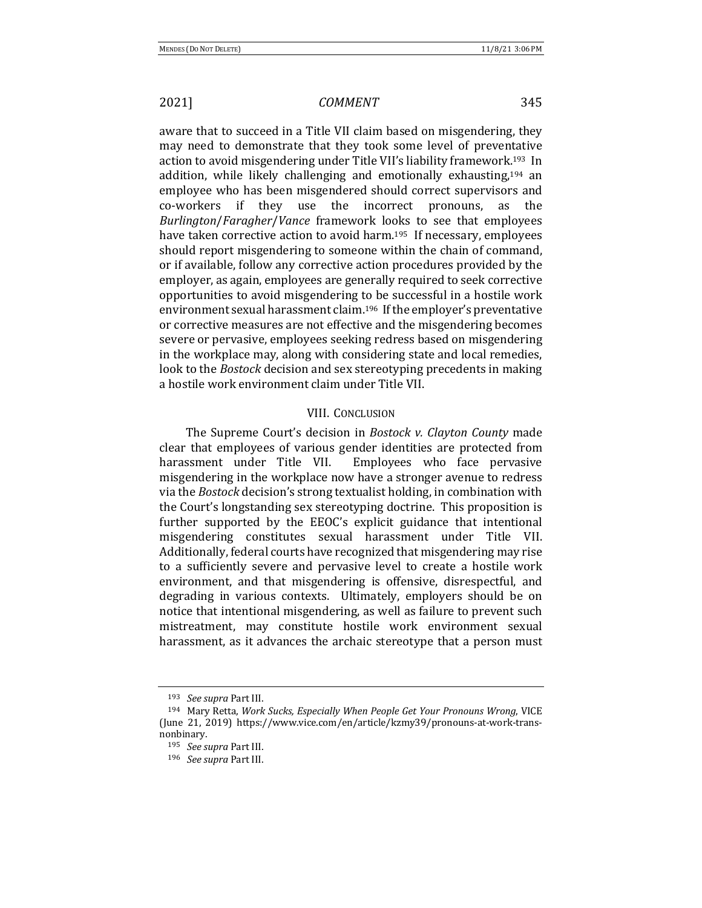aware that to succeed in a Title VII claim based on misgendering, they may need to demonstrate that they took some level of preventative action to avoid misgendering under Title VII's liability framework.<sup>193</sup> In addition, while likely challenging and emotionally exhausting, $194$  an employee who has been misgendered should correct supervisors and co-workers if they use the incorrect pronouns, as the *Burlington*/*Faragher*/*Vance* framework looks to see that employees have taken corrective action to avoid harm.<sup>195</sup> If necessary, employees should report misgendering to someone within the chain of command, or if available, follow any corrective action procedures provided by the employer, as again, employees are generally required to seek corrective opportunities to avoid misgendering to be successful in a hostile work environment sexual harassment claim.<sup>196</sup> If the employer's preventative or corrective measures are not effective and the misgendering becomes severe or pervasive, employees seeking redress based on misgendering in the workplace may, along with considering state and local remedies, look to the *Bostock* decision and sex stereotyping precedents in making a hostile work environment claim under Title VII.

## VIII. CONCLUSION

The Supreme Court's decision in *Bostock v. Clayton County* made clear that employees of various gender identities are protected from harassment under Title VII. Employees who face pervasive misgendering in the workplace now have a stronger avenue to redress via the *Bostock* decision's strong textualist holding, in combination with the Court's longstanding sex stereotyping doctrine. This proposition is further supported by the EEOC's explicit guidance that intentional misgendering constitutes sexual harassment under Title VII. Additionally, federal courts have recognized that misgendering may rise to a sufficiently severe and pervasive level to create a hostile work environment, and that misgendering is offensive, disrespectful, and degrading in various contexts. Ultimately, employers should be on notice that intentional misgendering, as well as failure to prevent such mistreatment, may constitute hostile work environment sexual harassment, as it advances the archaic stereotype that a person must

<sup>193</sup> *See supra* Part III.

<sup>194</sup> Mary Retta, *Work Sucks, Especially When People Get Your Pronouns Wrong*, VICE (June 21, 2019) https://www.vice.com/en/article/kzmy39/pronouns-at-work-transnonbinary.

<sup>195</sup> *See supra* Part III.

<sup>196</sup> *See supra* Part III.